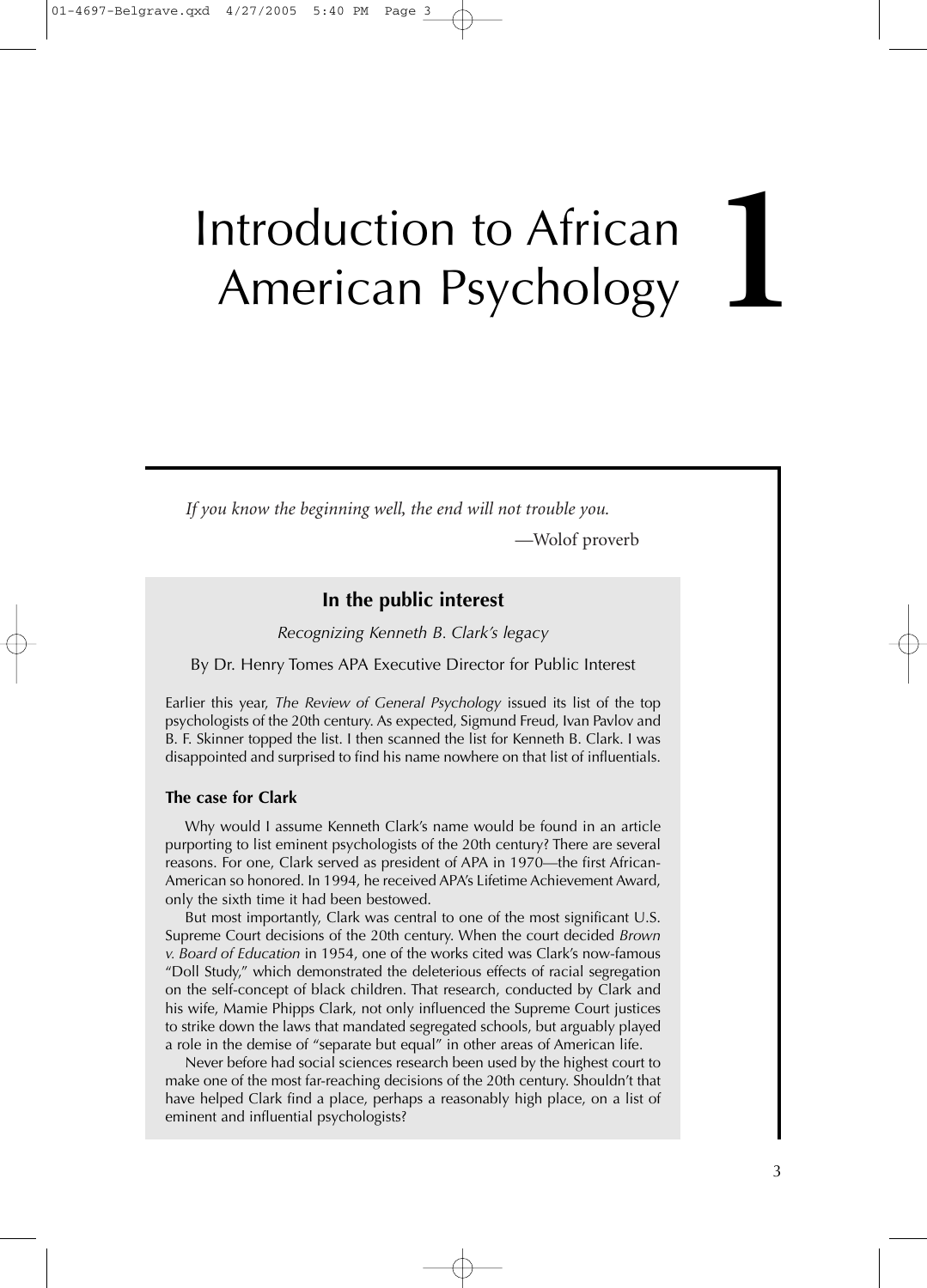# Introduction to African<br>American Psychology American Psychology

*If you know the beginning well, the end will not trouble you.*

—Wolof proverb

# **In the public interest**

*Recognizing Kenneth B. Clark's legacy* 

By Dr. Henry Tomes APA Executive Director for Public Interest

Earlier this year, *The Review of General Psychology* issued its list of the top psychologists of the 20th century. As expected, Sigmund Freud, Ivan Pavlov and B. F. Skinner topped the list. I then scanned the list for Kenneth B. Clark. I was disappointed and surprised to find his name nowhere on that list of influentials.

#### **The case for Clark**

Why would I assume Kenneth Clark's name would be found in an article purporting to list eminent psychologists of the 20th century? There are several reasons. For one, Clark served as president of APA in 1970—the first African-American so honored. In 1994, he received APA's Lifetime Achievement Award, only the sixth time it had been bestowed.

But most importantly, Clark was central to one of the most significant U.S. Supreme Court decisions of the 20th century. When the court decided *Brown v. Board of Education* in 1954, one of the works cited was Clark's now-famous "Doll Study," which demonstrated the deleterious effects of racial segregation on the self-concept of black children. That research, conducted by Clark and his wife, Mamie Phipps Clark, not only influenced the Supreme Court justices to strike down the laws that mandated segregated schools, but arguably played a role in the demise of "separate but equal" in other areas of American life.

Never before had social sciences research been used by the highest court to make one of the most far-reaching decisions of the 20th century. Shouldn't that have helped Clark find a place, perhaps a reasonably high place, on a list of eminent and influential psychologists?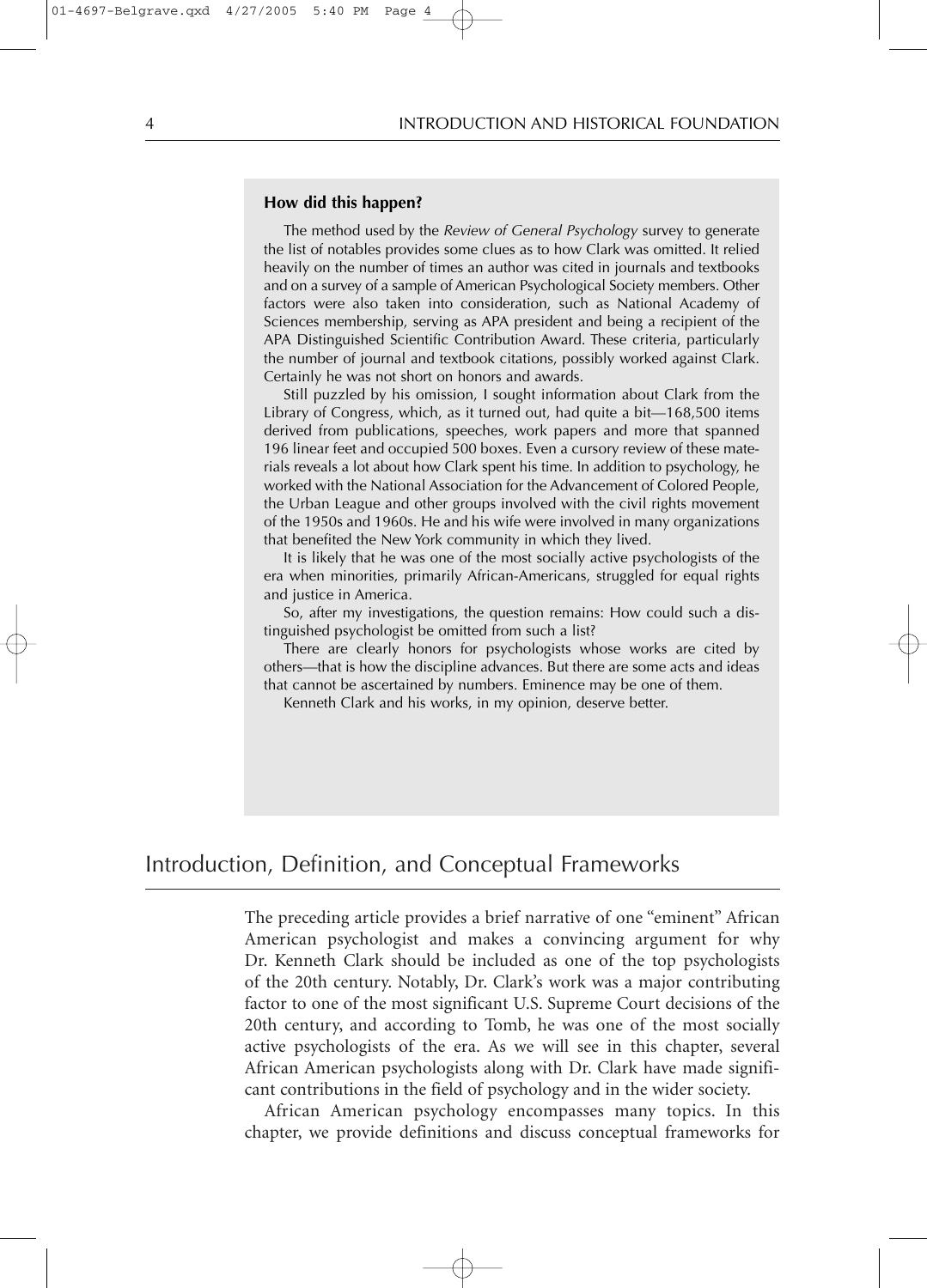#### **How did this happen?**

The method used by the *Review of General Psychology* survey to generate the list of notables provides some clues as to how Clark was omitted. It relied heavily on the number of times an author was cited in journals and textbooks and on a survey of a sample of American Psychological Society members. Other factors were also taken into consideration, such as National Academy of Sciences membership, serving as APA president and being a recipient of the APA Distinguished Scientific Contribution Award. These criteria, particularly the number of journal and textbook citations, possibly worked against Clark. Certainly he was not short on honors and awards.

Still puzzled by his omission, I sought information about Clark from the Library of Congress, which, as it turned out, had quite a bit—168,500 items derived from publications, speeches, work papers and more that spanned 196 linear feet and occupied 500 boxes. Even a cursory review of these materials reveals a lot about how Clark spent his time. In addition to psychology, he worked with the National Association for the Advancement of Colored People, the Urban League and other groups involved with the civil rights movement of the 1950s and 1960s. He and his wife were involved in many organizations that benefited the New York community in which they lived.

It is likely that he was one of the most socially active psychologists of the era when minorities, primarily African-Americans, struggled for equal rights and justice in America.

So, after my investigations, the question remains: How could such a distinguished psychologist be omitted from such a list?

There are clearly honors for psychologists whose works are cited by others—that is how the discipline advances. But there are some acts and ideas that cannot be ascertained by numbers. Eminence may be one of them.

Kenneth Clark and his works, in my opinion, deserve better.

# Introduction, Definition, and Conceptual Frameworks

The preceding article provides a brief narrative of one "eminent" African American psychologist and makes a convincing argument for why Dr. Kenneth Clark should be included as one of the top psychologists of the 20th century. Notably, Dr. Clark's work was a major contributing factor to one of the most significant U.S. Supreme Court decisions of the 20th century, and according to Tomb, he was one of the most socially active psychologists of the era. As we will see in this chapter, several African American psychologists along with Dr. Clark have made significant contributions in the field of psychology and in the wider society.

African American psychology encompasses many topics. In this chapter, we provide definitions and discuss conceptual frameworks for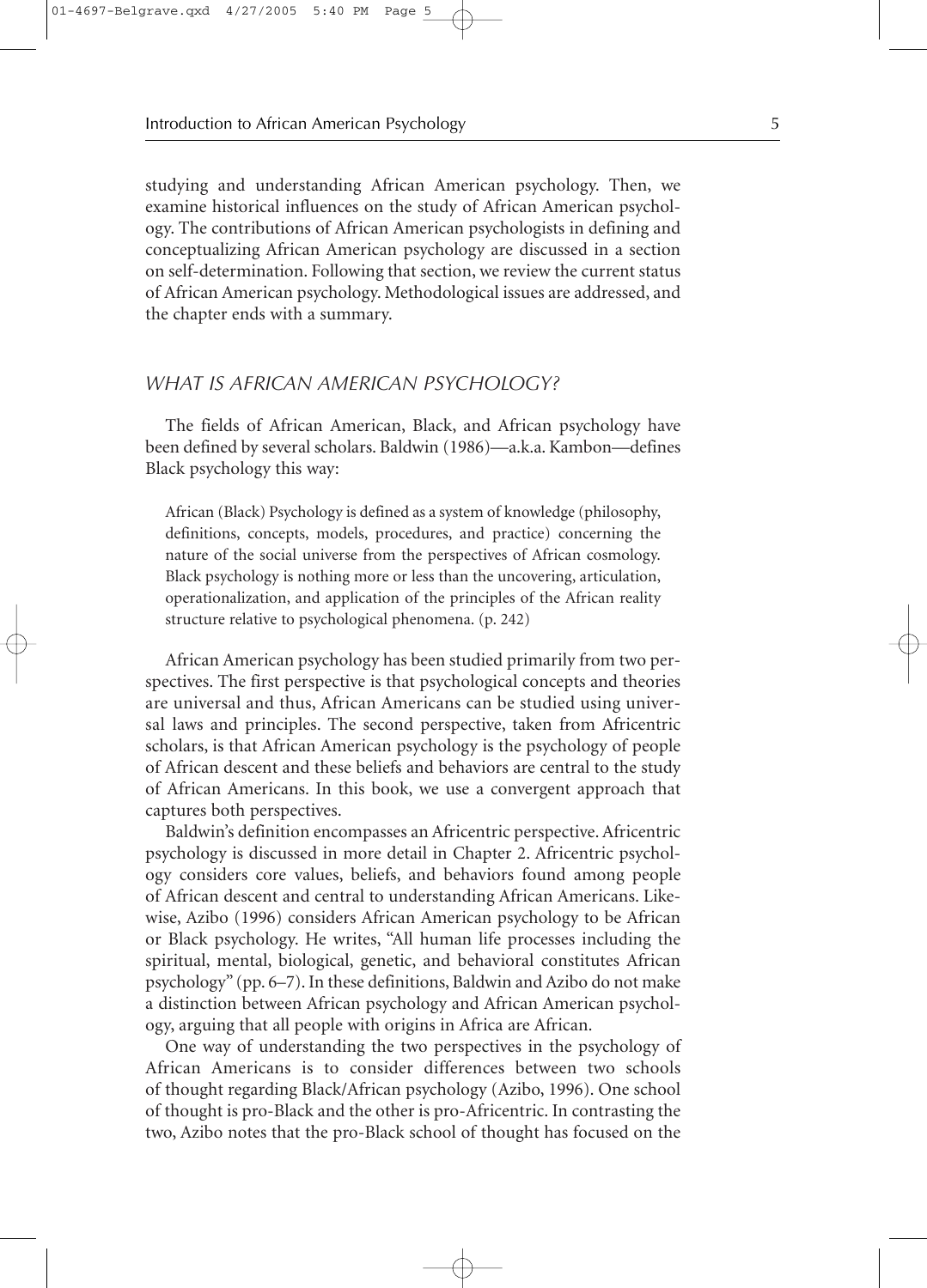studying and understanding African American psychology. Then, we examine historical influences on the study of African American psychology. The contributions of African American psychologists in defining and conceptualizing African American psychology are discussed in a section on self-determination. Following that section, we review the current status of African American psychology. Methodological issues are addressed, and the chapter ends with a summary.

# *WHAT IS AFRICAN AMERICAN PSYCHOLOGY?*

The fields of African American, Black, and African psychology have been defined by several scholars. Baldwin (1986)—a.k.a. Kambon—defines Black psychology this way:

African (Black) Psychology is defined as a system of knowledge (philosophy, definitions, concepts, models, procedures, and practice) concerning the nature of the social universe from the perspectives of African cosmology. Black psychology is nothing more or less than the uncovering, articulation, operationalization, and application of the principles of the African reality structure relative to psychological phenomena. (p. 242)

African American psychology has been studied primarily from two perspectives. The first perspective is that psychological concepts and theories are universal and thus, African Americans can be studied using universal laws and principles. The second perspective, taken from Africentric scholars, is that African American psychology is the psychology of people of African descent and these beliefs and behaviors are central to the study of African Americans. In this book, we use a convergent approach that captures both perspectives.

Baldwin's definition encompasses an Africentric perspective. Africentric psychology is discussed in more detail in Chapter 2. Africentric psychology considers core values, beliefs, and behaviors found among people of African descent and central to understanding African Americans. Likewise, Azibo (1996) considers African American psychology to be African or Black psychology. He writes, "All human life processes including the spiritual, mental, biological, genetic, and behavioral constitutes African psychology" (pp. 6–7). In these definitions, Baldwin and Azibo do not make a distinction between African psychology and African American psychology, arguing that all people with origins in Africa are African.

One way of understanding the two perspectives in the psychology of African Americans is to consider differences between two schools of thought regarding Black/African psychology (Azibo, 1996). One school of thought is pro-Black and the other is pro-Africentric. In contrasting the two, Azibo notes that the pro-Black school of thought has focused on the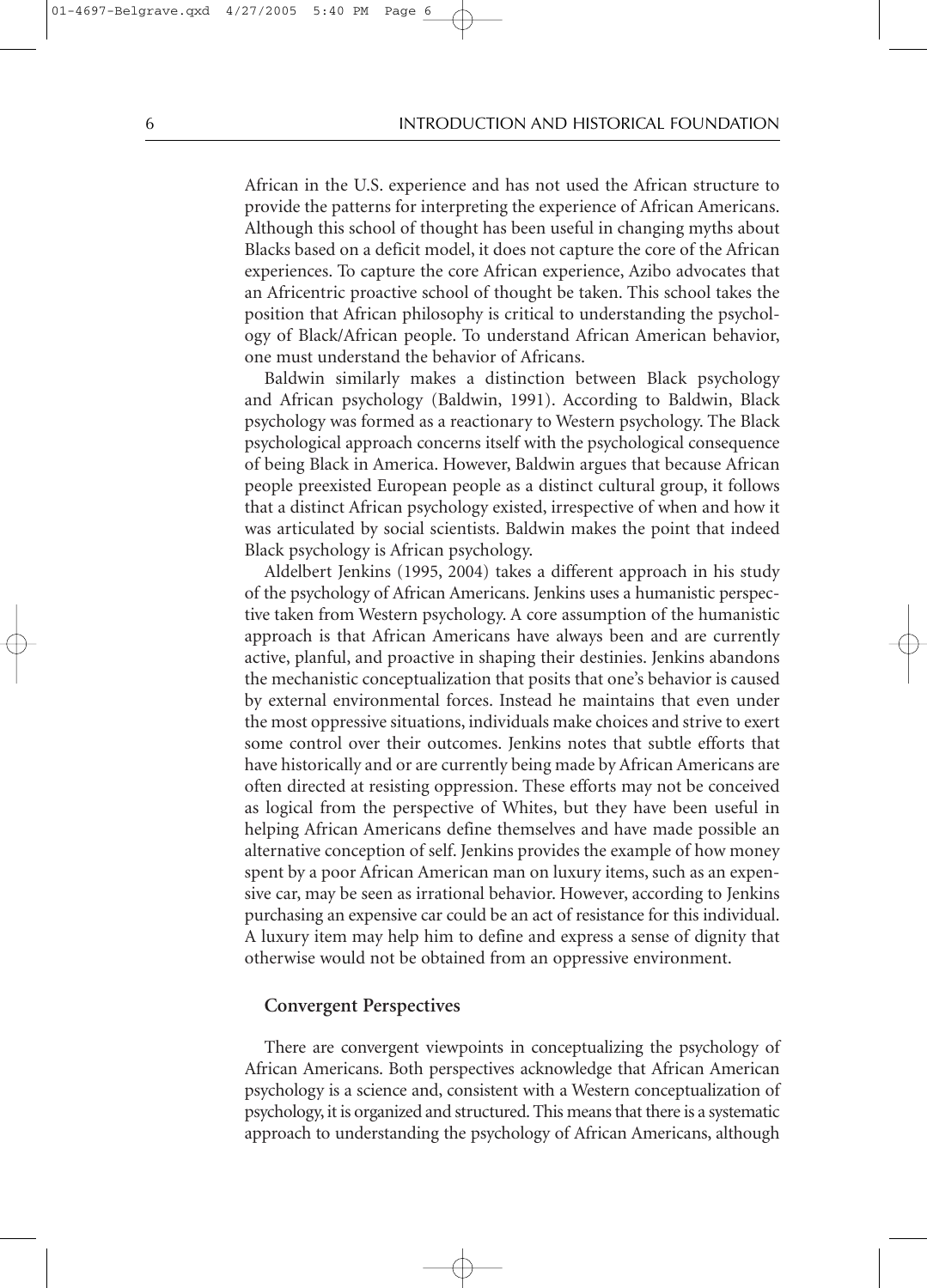African in the U.S. experience and has not used the African structure to provide the patterns for interpreting the experience of African Americans. Although this school of thought has been useful in changing myths about Blacks based on a deficit model, it does not capture the core of the African experiences. To capture the core African experience, Azibo advocates that an Africentric proactive school of thought be taken. This school takes the position that African philosophy is critical to understanding the psychology of Black/African people. To understand African American behavior, one must understand the behavior of Africans.

Baldwin similarly makes a distinction between Black psychology and African psychology (Baldwin, 1991). According to Baldwin, Black psychology was formed as a reactionary to Western psychology. The Black psychological approach concerns itself with the psychological consequence of being Black in America. However, Baldwin argues that because African people preexisted European people as a distinct cultural group, it follows that a distinct African psychology existed, irrespective of when and how it was articulated by social scientists. Baldwin makes the point that indeed Black psychology is African psychology.

Aldelbert Jenkins (1995, 2004) takes a different approach in his study of the psychology of African Americans. Jenkins uses a humanistic perspective taken from Western psychology. A core assumption of the humanistic approach is that African Americans have always been and are currently active, planful, and proactive in shaping their destinies. Jenkins abandons the mechanistic conceptualization that posits that one's behavior is caused by external environmental forces. Instead he maintains that even under the most oppressive situations, individuals make choices and strive to exert some control over their outcomes. Jenkins notes that subtle efforts that have historically and or are currently being made by African Americans are often directed at resisting oppression. These efforts may not be conceived as logical from the perspective of Whites, but they have been useful in helping African Americans define themselves and have made possible an alternative conception of self. Jenkins provides the example of how money spent by a poor African American man on luxury items, such as an expensive car, may be seen as irrational behavior. However, according to Jenkins purchasing an expensive car could be an act of resistance for this individual. A luxury item may help him to define and express a sense of dignity that otherwise would not be obtained from an oppressive environment.

#### **Convergent Perspectives**

There are convergent viewpoints in conceptualizing the psychology of African Americans. Both perspectives acknowledge that African American psychology is a science and, consistent with a Western conceptualization of psychology, it is organized and structured. This means that there is a systematic approach to understanding the psychology of African Americans, although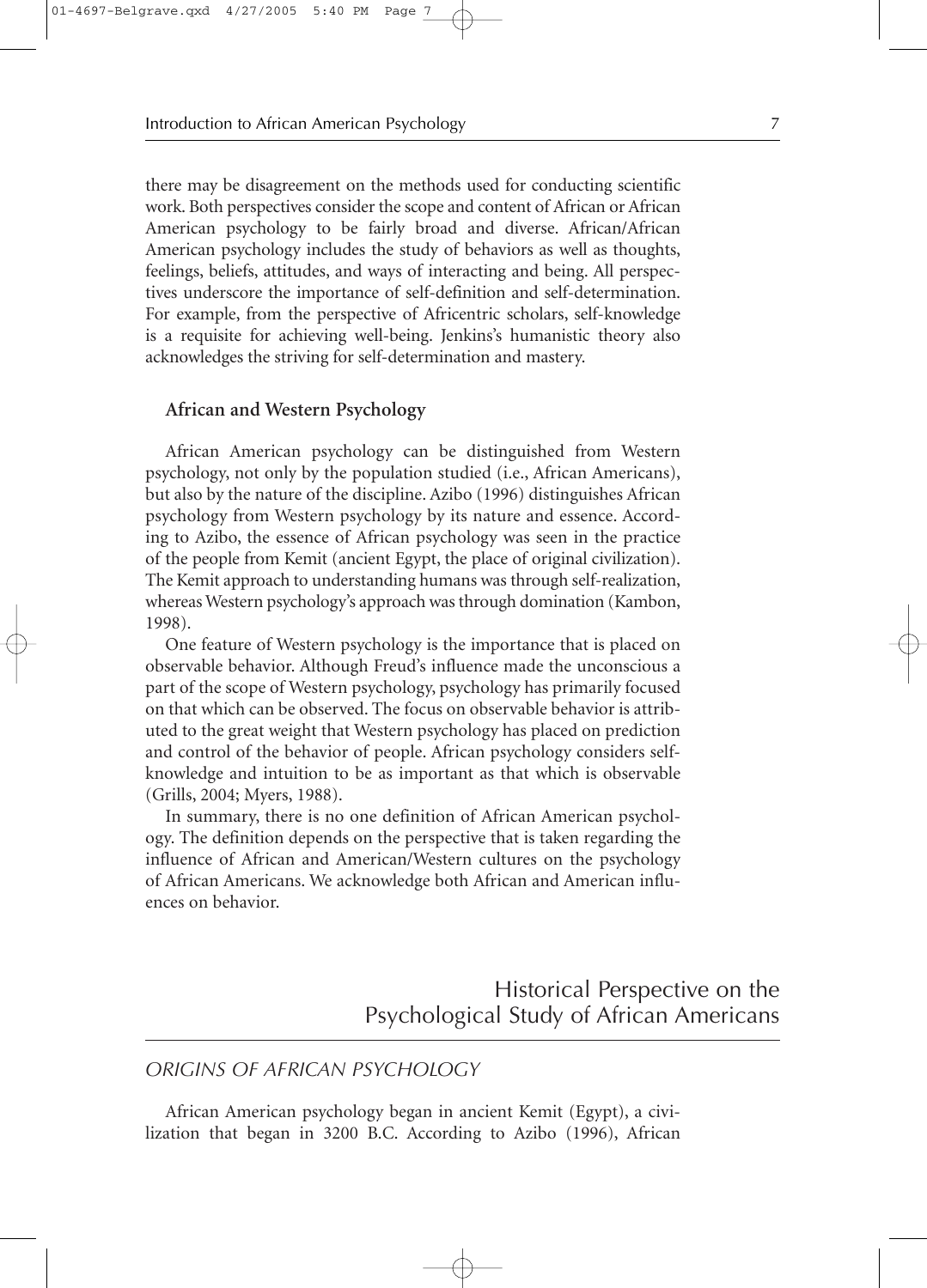there may be disagreement on the methods used for conducting scientific work. Both perspectives consider the scope and content of African or African American psychology to be fairly broad and diverse. African/African American psychology includes the study of behaviors as well as thoughts, feelings, beliefs, attitudes, and ways of interacting and being. All perspectives underscore the importance of self-definition and self-determination. For example, from the perspective of Africentric scholars, self-knowledge is a requisite for achieving well-being. Jenkins's humanistic theory also acknowledges the striving for self-determination and mastery.

#### **African and Western Psychology**

African American psychology can be distinguished from Western psychology, not only by the population studied (i.e., African Americans), but also by the nature of the discipline. Azibo (1996) distinguishes African psychology from Western psychology by its nature and essence. According to Azibo, the essence of African psychology was seen in the practice of the people from Kemit (ancient Egypt, the place of original civilization). The Kemit approach to understanding humans was through self-realization, whereas Western psychology's approach was through domination (Kambon, 1998).

One feature of Western psychology is the importance that is placed on observable behavior. Although Freud's influence made the unconscious a part of the scope of Western psychology, psychology has primarily focused on that which can be observed. The focus on observable behavior is attributed to the great weight that Western psychology has placed on prediction and control of the behavior of people. African psychology considers selfknowledge and intuition to be as important as that which is observable (Grills, 2004; Myers, 1988).

In summary, there is no one definition of African American psychology. The definition depends on the perspective that is taken regarding the influence of African and American/Western cultures on the psychology of African Americans. We acknowledge both African and American influences on behavior.

> Historical Perspective on the Psychological Study of African Americans

#### *ORIGINS OF AFRICAN PSYCHOLOGY*

African American psychology began in ancient Kemit (Egypt), a civilization that began in 3200 B.C. According to Azibo (1996), African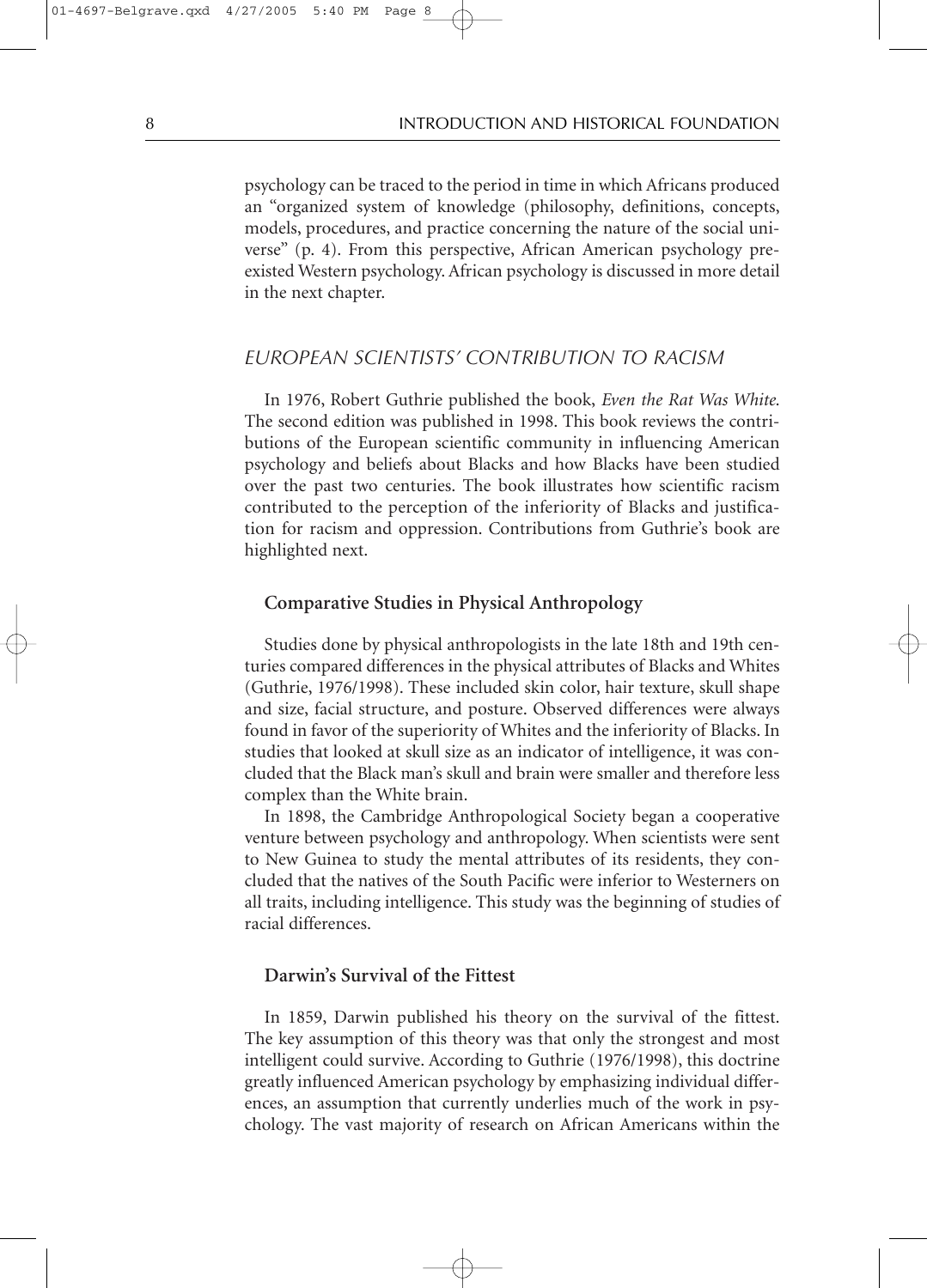psychology can be traced to the period in time in which Africans produced an "organized system of knowledge (philosophy, definitions, concepts, models, procedures, and practice concerning the nature of the social universe" (p. 4). From this perspective, African American psychology preexisted Western psychology. African psychology is discussed in more detail in the next chapter.

## *EUROPEAN SCIENTISTS' CONTRIBUTION TO RACISM*

In 1976, Robert Guthrie published the book, *Even the Rat Was White*. The second edition was published in 1998. This book reviews the contributions of the European scientific community in influencing American psychology and beliefs about Blacks and how Blacks have been studied over the past two centuries. The book illustrates how scientific racism contributed to the perception of the inferiority of Blacks and justification for racism and oppression. Contributions from Guthrie's book are highlighted next.

### **Comparative Studies in Physical Anthropology**

Studies done by physical anthropologists in the late 18th and 19th centuries compared differences in the physical attributes of Blacks and Whites (Guthrie, 1976/1998). These included skin color, hair texture, skull shape and size, facial structure, and posture. Observed differences were always found in favor of the superiority of Whites and the inferiority of Blacks. In studies that looked at skull size as an indicator of intelligence, it was concluded that the Black man's skull and brain were smaller and therefore less complex than the White brain.

In 1898, the Cambridge Anthropological Society began a cooperative venture between psychology and anthropology. When scientists were sent to New Guinea to study the mental attributes of its residents, they concluded that the natives of the South Pacific were inferior to Westerners on all traits, including intelligence. This study was the beginning of studies of racial differences.

#### **Darwin's Survival of the Fittest**

In 1859, Darwin published his theory on the survival of the fittest. The key assumption of this theory was that only the strongest and most intelligent could survive. According to Guthrie (1976/1998), this doctrine greatly influenced American psychology by emphasizing individual differences, an assumption that currently underlies much of the work in psychology. The vast majority of research on African Americans within the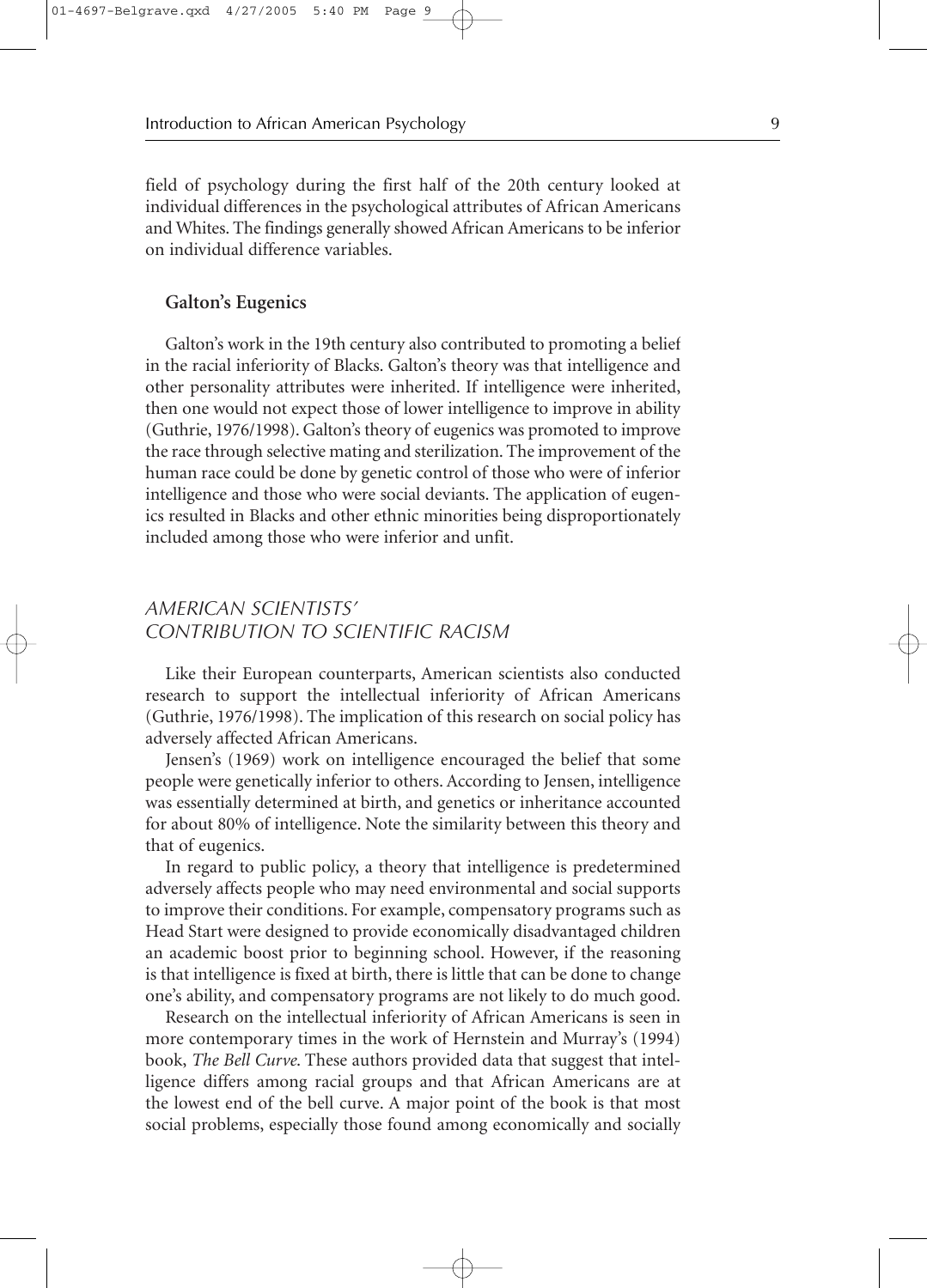field of psychology during the first half of the 20th century looked at individual differences in the psychological attributes of African Americans and Whites. The findings generally showed African Americans to be inferior on individual difference variables.

## **Galton's Eugenics**

Galton's work in the 19th century also contributed to promoting a belief in the racial inferiority of Blacks. Galton's theory was that intelligence and other personality attributes were inherited. If intelligence were inherited, then one would not expect those of lower intelligence to improve in ability (Guthrie, 1976/1998). Galton's theory of eugenics was promoted to improve the race through selective mating and sterilization. The improvement of the human race could be done by genetic control of those who were of inferior intelligence and those who were social deviants. The application of eugenics resulted in Blacks and other ethnic minorities being disproportionately included among those who were inferior and unfit.

# *AMERICAN SCIENTISTS' CONTRIBUTION TO SCIENTIFIC RACISM*

Like their European counterparts, American scientists also conducted research to support the intellectual inferiority of African Americans (Guthrie, 1976/1998). The implication of this research on social policy has adversely affected African Americans.

Jensen's (1969) work on intelligence encouraged the belief that some people were genetically inferior to others. According to Jensen, intelligence was essentially determined at birth, and genetics or inheritance accounted for about 80% of intelligence. Note the similarity between this theory and that of eugenics.

In regard to public policy, a theory that intelligence is predetermined adversely affects people who may need environmental and social supports to improve their conditions. For example, compensatory programs such as Head Start were designed to provide economically disadvantaged children an academic boost prior to beginning school. However, if the reasoning is that intelligence is fixed at birth, there is little that can be done to change one's ability, and compensatory programs are not likely to do much good.

Research on the intellectual inferiority of African Americans is seen in more contemporary times in the work of Hernstein and Murray's (1994) book, *The Bell Curve*. These authors provided data that suggest that intelligence differs among racial groups and that African Americans are at the lowest end of the bell curve. A major point of the book is that most social problems, especially those found among economically and socially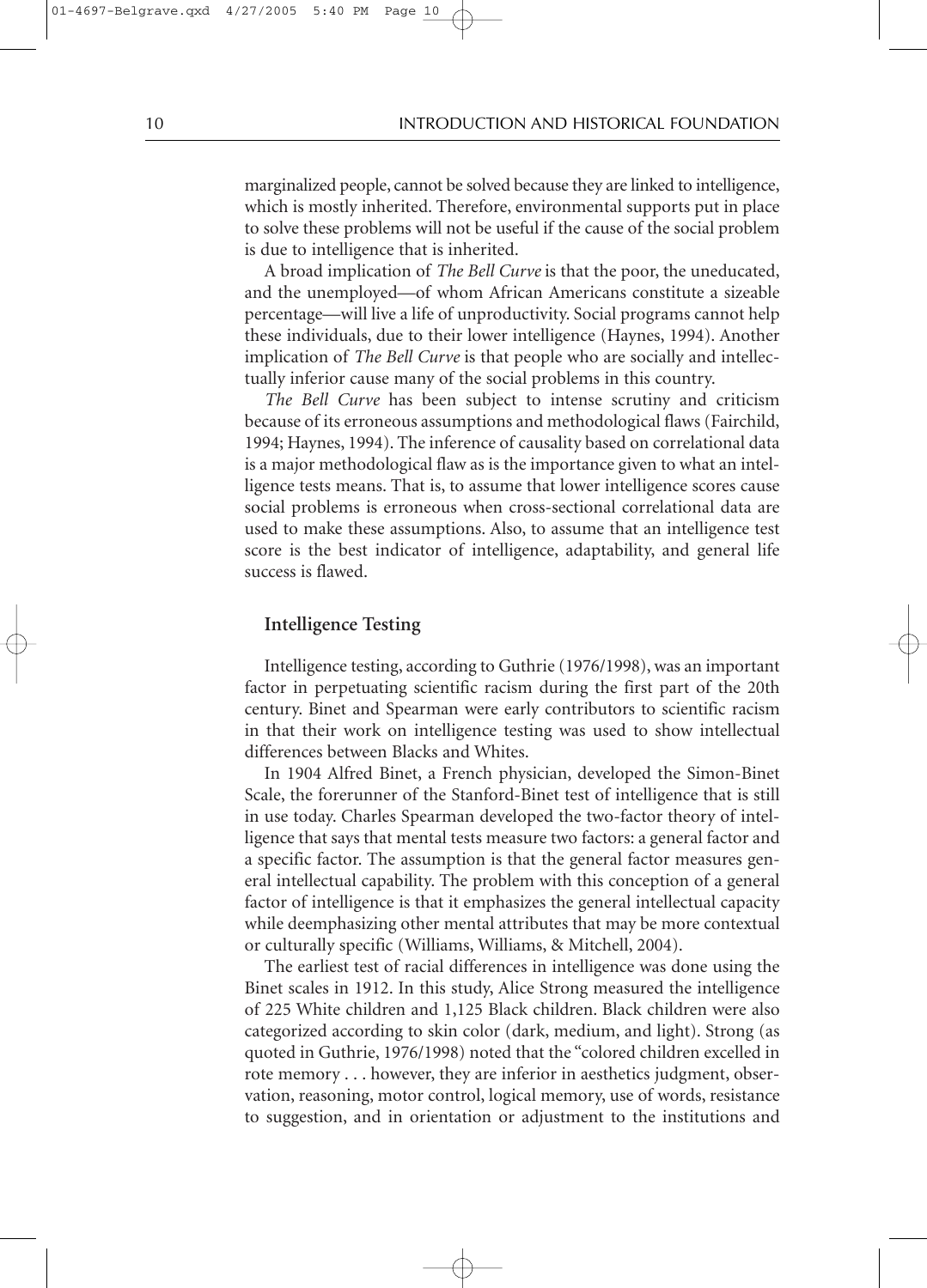marginalized people, cannot be solved because they are linked to intelligence, which is mostly inherited. Therefore, environmental supports put in place to solve these problems will not be useful if the cause of the social problem is due to intelligence that is inherited.

A broad implication of *The Bell Curve* is that the poor, the uneducated, and the unemployed—of whom African Americans constitute a sizeable percentage—will live a life of unproductivity. Social programs cannot help these individuals, due to their lower intelligence (Haynes, 1994). Another implication of *The Bell Curve* is that people who are socially and intellectually inferior cause many of the social problems in this country.

*The Bell Curve* has been subject to intense scrutiny and criticism because of its erroneous assumptions and methodological flaws (Fairchild, 1994; Haynes, 1994). The inference of causality based on correlational data is a major methodological flaw as is the importance given to what an intelligence tests means. That is, to assume that lower intelligence scores cause social problems is erroneous when cross-sectional correlational data are used to make these assumptions. Also, to assume that an intelligence test score is the best indicator of intelligence, adaptability, and general life success is flawed.

### **Intelligence Testing**

Intelligence testing, according to Guthrie (1976/1998), was an important factor in perpetuating scientific racism during the first part of the 20th century. Binet and Spearman were early contributors to scientific racism in that their work on intelligence testing was used to show intellectual differences between Blacks and Whites.

In 1904 Alfred Binet, a French physician, developed the Simon-Binet Scale, the forerunner of the Stanford-Binet test of intelligence that is still in use today. Charles Spearman developed the two-factor theory of intelligence that says that mental tests measure two factors: a general factor and a specific factor. The assumption is that the general factor measures general intellectual capability. The problem with this conception of a general factor of intelligence is that it emphasizes the general intellectual capacity while deemphasizing other mental attributes that may be more contextual or culturally specific (Williams, Williams, & Mitchell, 2004).

The earliest test of racial differences in intelligence was done using the Binet scales in 1912. In this study, Alice Strong measured the intelligence of 225 White children and 1,125 Black children. Black children were also categorized according to skin color (dark, medium, and light). Strong (as quoted in Guthrie, 1976/1998) noted that the "colored children excelled in rote memory . . . however, they are inferior in aesthetics judgment, observation, reasoning, motor control, logical memory, use of words, resistance to suggestion, and in orientation or adjustment to the institutions and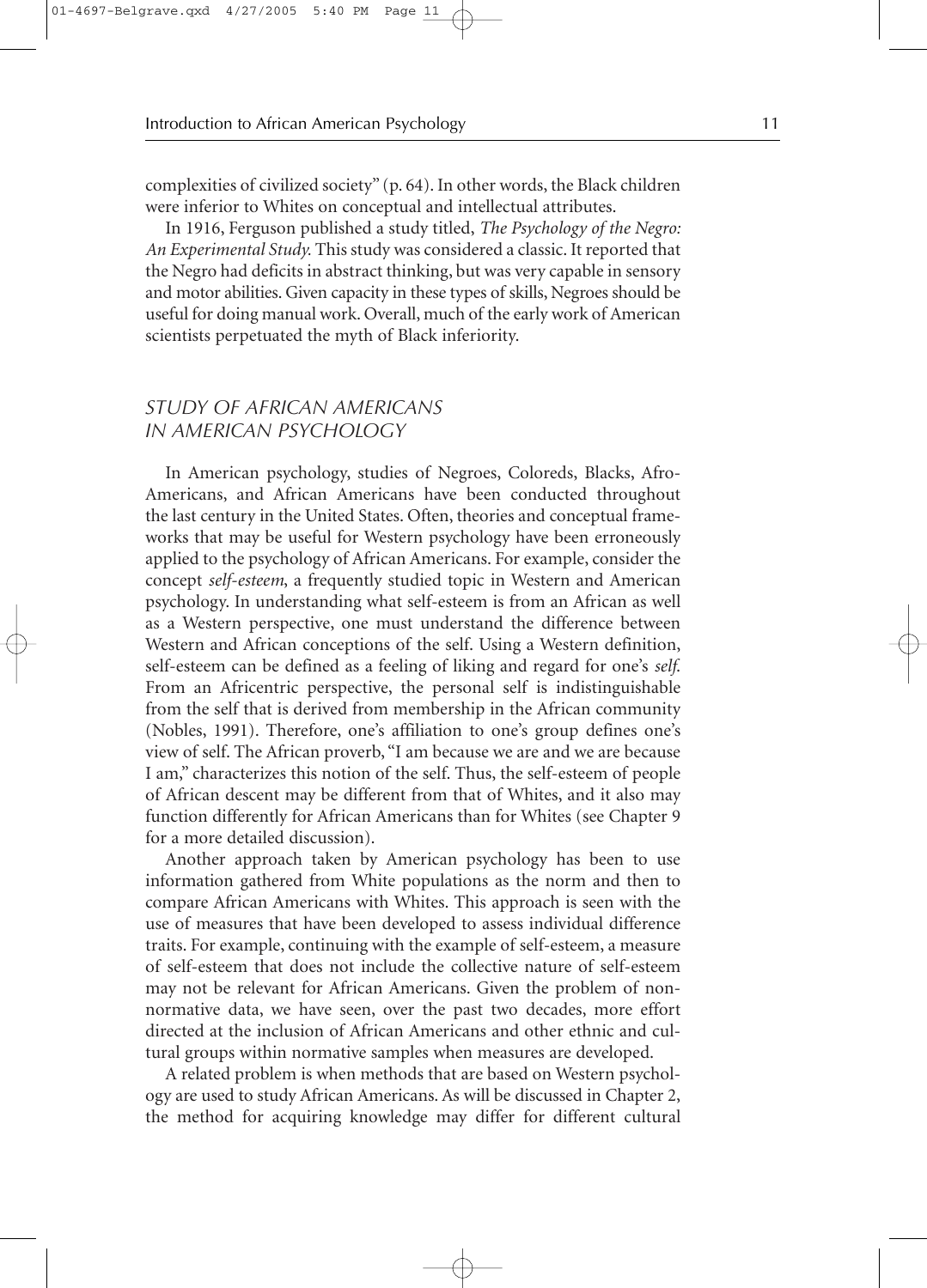complexities of civilized society" (p. 64). In other words, the Black children were inferior to Whites on conceptual and intellectual attributes.

In 1916, Ferguson published a study titled, *The Psychology of the Negro: An Experimental Study.* This study was considered a classic. It reported that the Negro had deficits in abstract thinking, but was very capable in sensory and motor abilities. Given capacity in these types of skills, Negroes should be useful for doing manual work. Overall, much of the early work of American scientists perpetuated the myth of Black inferiority.

# *STUDY OF AFRICAN AMERICANS IN AMERICAN PSYCHOLOGY*

In American psychology, studies of Negroes, Coloreds, Blacks, Afro-Americans, and African Americans have been conducted throughout the last century in the United States. Often, theories and conceptual frameworks that may be useful for Western psychology have been erroneously applied to the psychology of African Americans. For example, consider the concept *self-esteem*, a frequently studied topic in Western and American psychology. In understanding what self-esteem is from an African as well as a Western perspective, one must understand the difference between Western and African conceptions of the self. Using a Western definition, self-esteem can be defined as a feeling of liking and regard for one's *self*. From an Africentric perspective, the personal self is indistinguishable from the self that is derived from membership in the African community (Nobles, 1991). Therefore, one's affiliation to one's group defines one's view of self. The African proverb, "I am because we are and we are because I am," characterizes this notion of the self. Thus, the self-esteem of people of African descent may be different from that of Whites, and it also may function differently for African Americans than for Whites (see Chapter 9 for a more detailed discussion).

Another approach taken by American psychology has been to use information gathered from White populations as the norm and then to compare African Americans with Whites. This approach is seen with the use of measures that have been developed to assess individual difference traits. For example, continuing with the example of self-esteem, a measure of self-esteem that does not include the collective nature of self-esteem may not be relevant for African Americans. Given the problem of nonnormative data, we have seen, over the past two decades, more effort directed at the inclusion of African Americans and other ethnic and cultural groups within normative samples when measures are developed.

A related problem is when methods that are based on Western psychology are used to study African Americans. As will be discussed in Chapter 2, the method for acquiring knowledge may differ for different cultural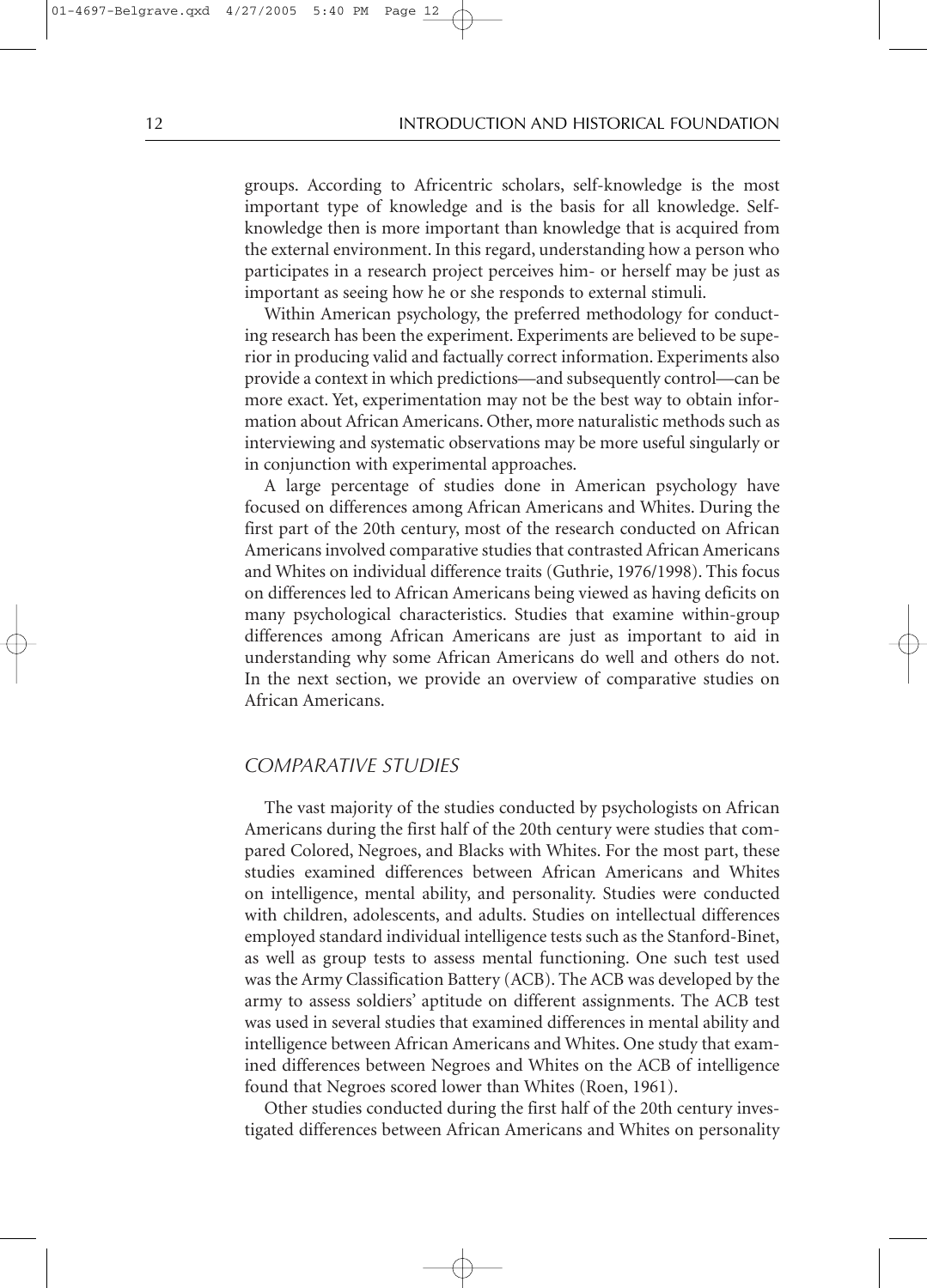groups. According to Africentric scholars, self-knowledge is the most important type of knowledge and is the basis for all knowledge. Selfknowledge then is more important than knowledge that is acquired from the external environment. In this regard, understanding how a person who participates in a research project perceives him- or herself may be just as important as seeing how he or she responds to external stimuli.

Within American psychology, the preferred methodology for conducting research has been the experiment. Experiments are believed to be superior in producing valid and factually correct information. Experiments also provide a context in which predictions—and subsequently control—can be more exact. Yet, experimentation may not be the best way to obtain information about African Americans. Other, more naturalistic methods such as interviewing and systematic observations may be more useful singularly or in conjunction with experimental approaches.

A large percentage of studies done in American psychology have focused on differences among African Americans and Whites. During the first part of the 20th century, most of the research conducted on African Americans involved comparative studies that contrasted African Americans and Whites on individual difference traits (Guthrie, 1976/1998). This focus on differences led to African Americans being viewed as having deficits on many psychological characteristics. Studies that examine within-group differences among African Americans are just as important to aid in understanding why some African Americans do well and others do not. In the next section, we provide an overview of comparative studies on African Americans.

## *COMPARATIVE STUDIES*

The vast majority of the studies conducted by psychologists on African Americans during the first half of the 20th century were studies that compared Colored, Negroes, and Blacks with Whites. For the most part, these studies examined differences between African Americans and Whites on intelligence, mental ability, and personality. Studies were conducted with children, adolescents, and adults. Studies on intellectual differences employed standard individual intelligence tests such as the Stanford-Binet, as well as group tests to assess mental functioning. One such test used was the Army Classification Battery (ACB). The ACB was developed by the army to assess soldiers' aptitude on different assignments. The ACB test was used in several studies that examined differences in mental ability and intelligence between African Americans and Whites. One study that examined differences between Negroes and Whites on the ACB of intelligence found that Negroes scored lower than Whites (Roen, 1961).

Other studies conducted during the first half of the 20th century investigated differences between African Americans and Whites on personality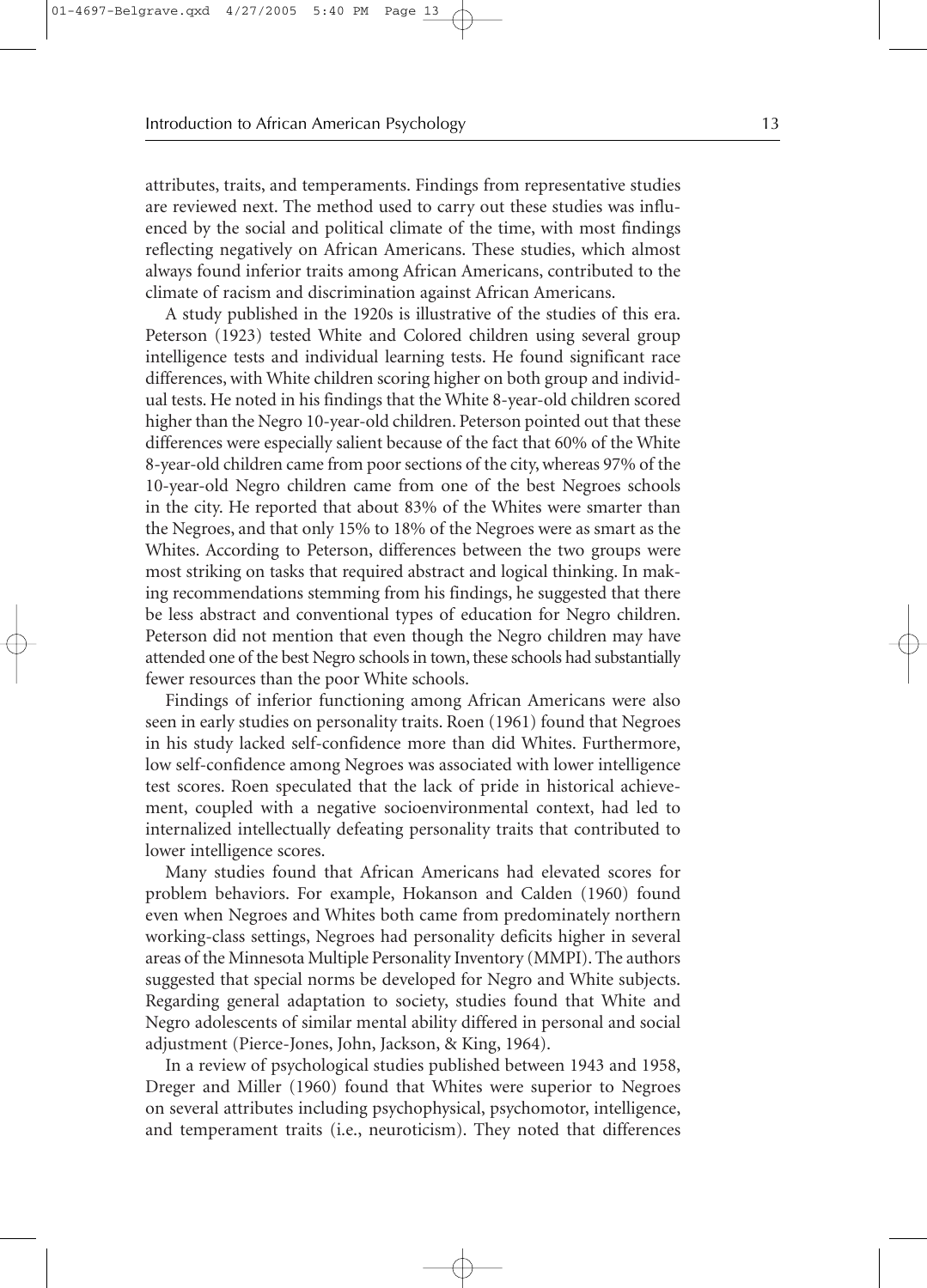attributes, traits, and temperaments. Findings from representative studies are reviewed next. The method used to carry out these studies was influenced by the social and political climate of the time, with most findings reflecting negatively on African Americans. These studies, which almost always found inferior traits among African Americans, contributed to the climate of racism and discrimination against African Americans.

A study published in the 1920s is illustrative of the studies of this era. Peterson (1923) tested White and Colored children using several group intelligence tests and individual learning tests. He found significant race differences, with White children scoring higher on both group and individual tests. He noted in his findings that the White 8-year-old children scored higher than the Negro 10-year-old children. Peterson pointed out that these differences were especially salient because of the fact that 60% of the White 8-year-old children came from poor sections of the city, whereas 97% of the 10-year-old Negro children came from one of the best Negroes schools in the city. He reported that about 83% of the Whites were smarter than the Negroes, and that only 15% to 18% of the Negroes were as smart as the Whites. According to Peterson, differences between the two groups were most striking on tasks that required abstract and logical thinking. In making recommendations stemming from his findings, he suggested that there be less abstract and conventional types of education for Negro children. Peterson did not mention that even though the Negro children may have attended one of the best Negro schools in town, these schools had substantially fewer resources than the poor White schools.

Findings of inferior functioning among African Americans were also seen in early studies on personality traits. Roen (1961) found that Negroes in his study lacked self-confidence more than did Whites. Furthermore, low self-confidence among Negroes was associated with lower intelligence test scores. Roen speculated that the lack of pride in historical achievement, coupled with a negative socioenvironmental context, had led to internalized intellectually defeating personality traits that contributed to lower intelligence scores.

Many studies found that African Americans had elevated scores for problem behaviors. For example, Hokanson and Calden (1960) found even when Negroes and Whites both came from predominately northern working-class settings, Negroes had personality deficits higher in several areas of the Minnesota Multiple Personality Inventory (MMPI). The authors suggested that special norms be developed for Negro and White subjects. Regarding general adaptation to society, studies found that White and Negro adolescents of similar mental ability differed in personal and social adjustment (Pierce-Jones, John, Jackson, & King, 1964).

In a review of psychological studies published between 1943 and 1958, Dreger and Miller (1960) found that Whites were superior to Negroes on several attributes including psychophysical, psychomotor, intelligence, and temperament traits (i.e., neuroticism). They noted that differences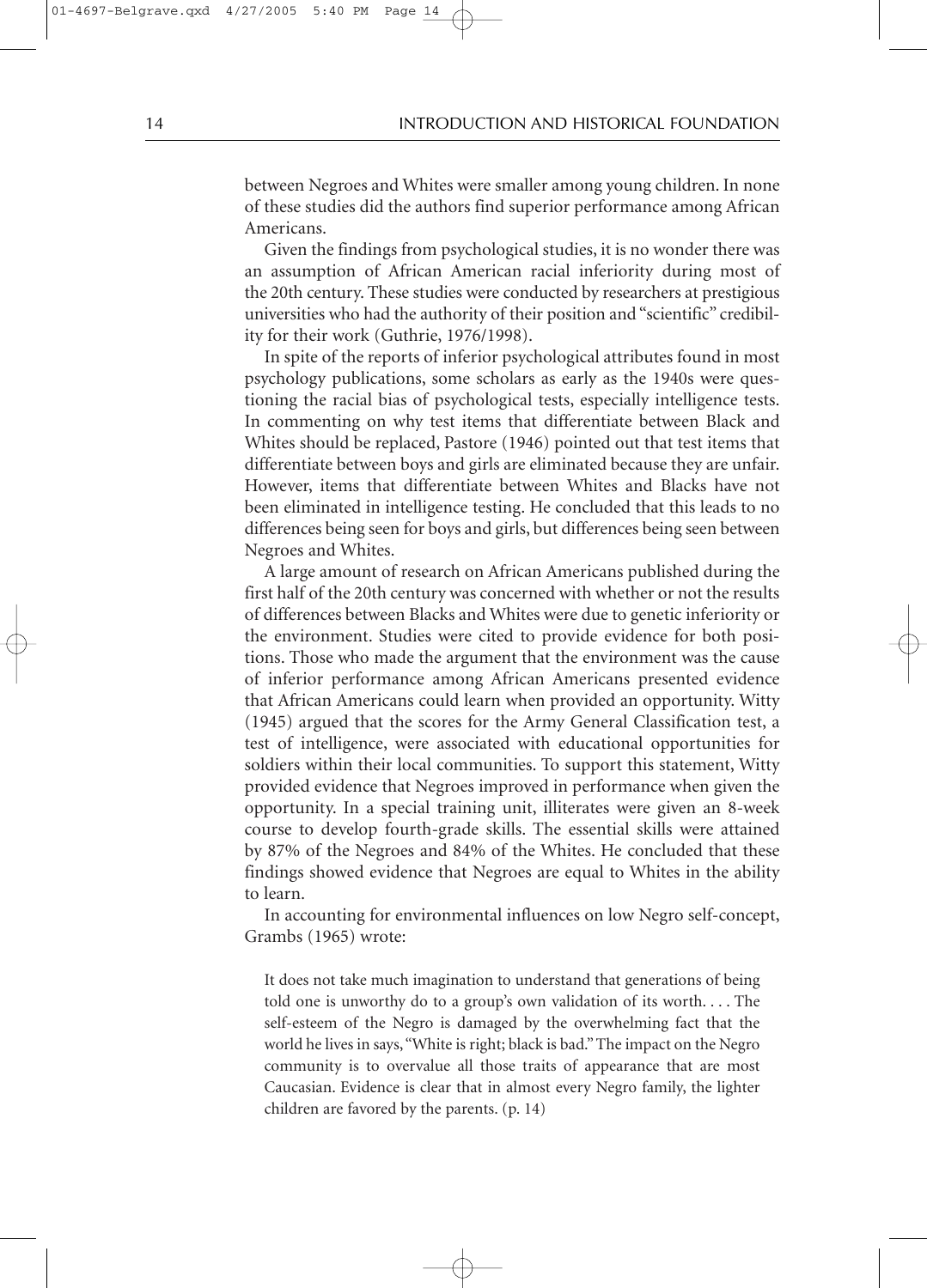between Negroes and Whites were smaller among young children. In none of these studies did the authors find superior performance among African Americans.

Given the findings from psychological studies, it is no wonder there was an assumption of African American racial inferiority during most of the 20th century. These studies were conducted by researchers at prestigious universities who had the authority of their position and "scientific" credibility for their work (Guthrie, 1976/1998).

In spite of the reports of inferior psychological attributes found in most psychology publications, some scholars as early as the 1940s were questioning the racial bias of psychological tests, especially intelligence tests. In commenting on why test items that differentiate between Black and Whites should be replaced, Pastore (1946) pointed out that test items that differentiate between boys and girls are eliminated because they are unfair. However, items that differentiate between Whites and Blacks have not been eliminated in intelligence testing. He concluded that this leads to no differences being seen for boys and girls, but differences being seen between Negroes and Whites.

A large amount of research on African Americans published during the first half of the 20th century was concerned with whether or not the results of differences between Blacks and Whites were due to genetic inferiority or the environment. Studies were cited to provide evidence for both positions. Those who made the argument that the environment was the cause of inferior performance among African Americans presented evidence that African Americans could learn when provided an opportunity. Witty (1945) argued that the scores for the Army General Classification test, a test of intelligence, were associated with educational opportunities for soldiers within their local communities. To support this statement, Witty provided evidence that Negroes improved in performance when given the opportunity. In a special training unit, illiterates were given an 8-week course to develop fourth-grade skills. The essential skills were attained by 87% of the Negroes and 84% of the Whites. He concluded that these findings showed evidence that Negroes are equal to Whites in the ability to learn.

In accounting for environmental influences on low Negro self-concept, Grambs (1965) wrote:

It does not take much imagination to understand that generations of being told one is unworthy do to a group's own validation of its worth. . . . The self-esteem of the Negro is damaged by the overwhelming fact that the world he lives in says,"White is right; black is bad." The impact on the Negro community is to overvalue all those traits of appearance that are most Caucasian. Evidence is clear that in almost every Negro family, the lighter children are favored by the parents. (p. 14)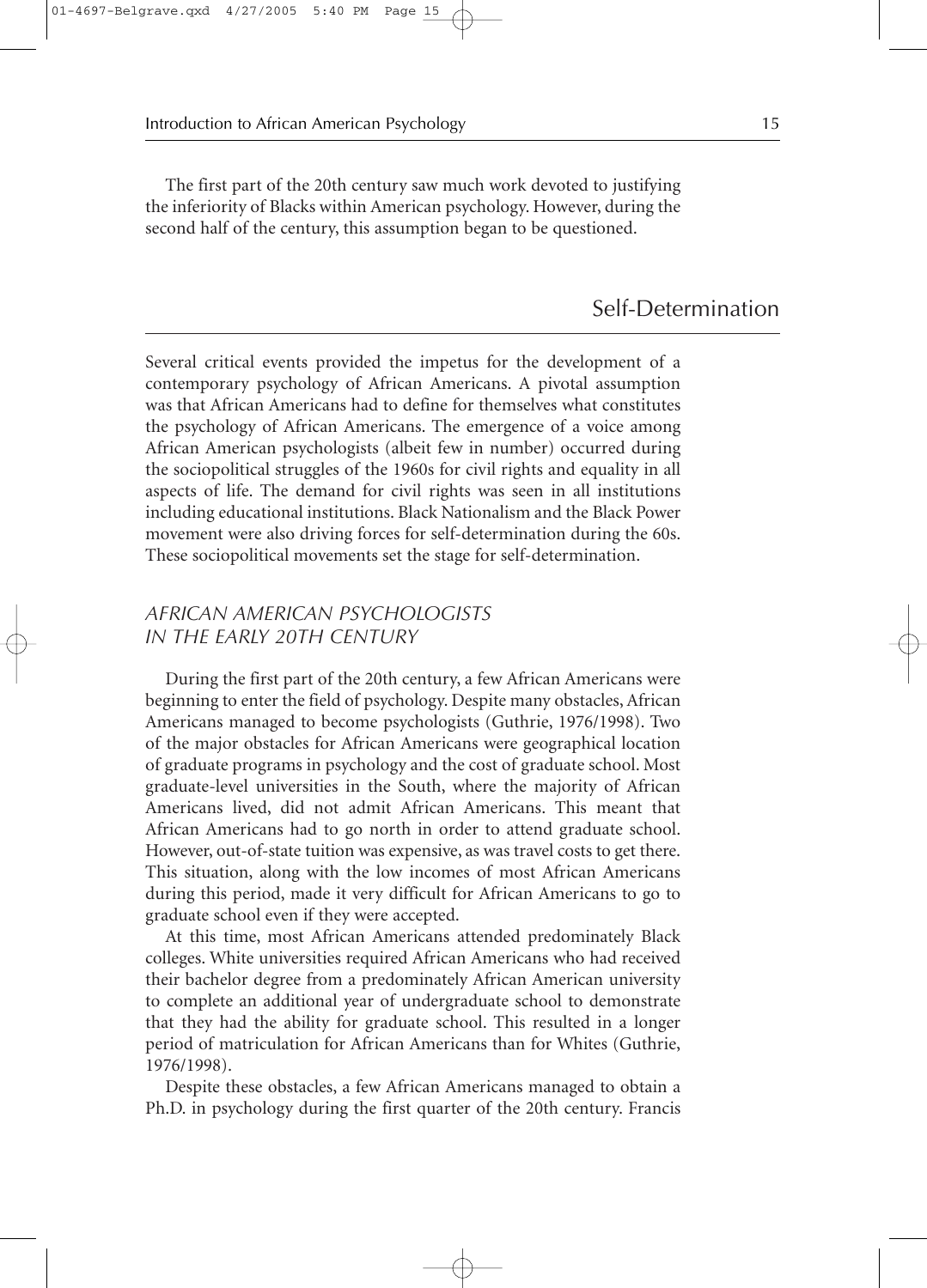The first part of the 20th century saw much work devoted to justifying the inferiority of Blacks within American psychology. However, during the second half of the century, this assumption began to be questioned.

# Self-Determination

Several critical events provided the impetus for the development of a contemporary psychology of African Americans. A pivotal assumption was that African Americans had to define for themselves what constitutes the psychology of African Americans. The emergence of a voice among African American psychologists (albeit few in number) occurred during the sociopolitical struggles of the 1960s for civil rights and equality in all aspects of life. The demand for civil rights was seen in all institutions including educational institutions. Black Nationalism and the Black Power movement were also driving forces for self-determination during the 60s. These sociopolitical movements set the stage for self-determination.

# *AFRICAN AMERICAN PSYCHOLOGISTS IN THE EARLY 20TH CENTURY*

During the first part of the 20th century, a few African Americans were beginning to enter the field of psychology. Despite many obstacles, African Americans managed to become psychologists (Guthrie, 1976/1998). Two of the major obstacles for African Americans were geographical location of graduate programs in psychology and the cost of graduate school. Most graduate-level universities in the South, where the majority of African Americans lived, did not admit African Americans. This meant that African Americans had to go north in order to attend graduate school. However, out-of-state tuition was expensive, as was travel costs to get there. This situation, along with the low incomes of most African Americans during this period, made it very difficult for African Americans to go to graduate school even if they were accepted.

At this time, most African Americans attended predominately Black colleges. White universities required African Americans who had received their bachelor degree from a predominately African American university to complete an additional year of undergraduate school to demonstrate that they had the ability for graduate school. This resulted in a longer period of matriculation for African Americans than for Whites (Guthrie, 1976/1998).

Despite these obstacles, a few African Americans managed to obtain a Ph.D. in psychology during the first quarter of the 20th century. Francis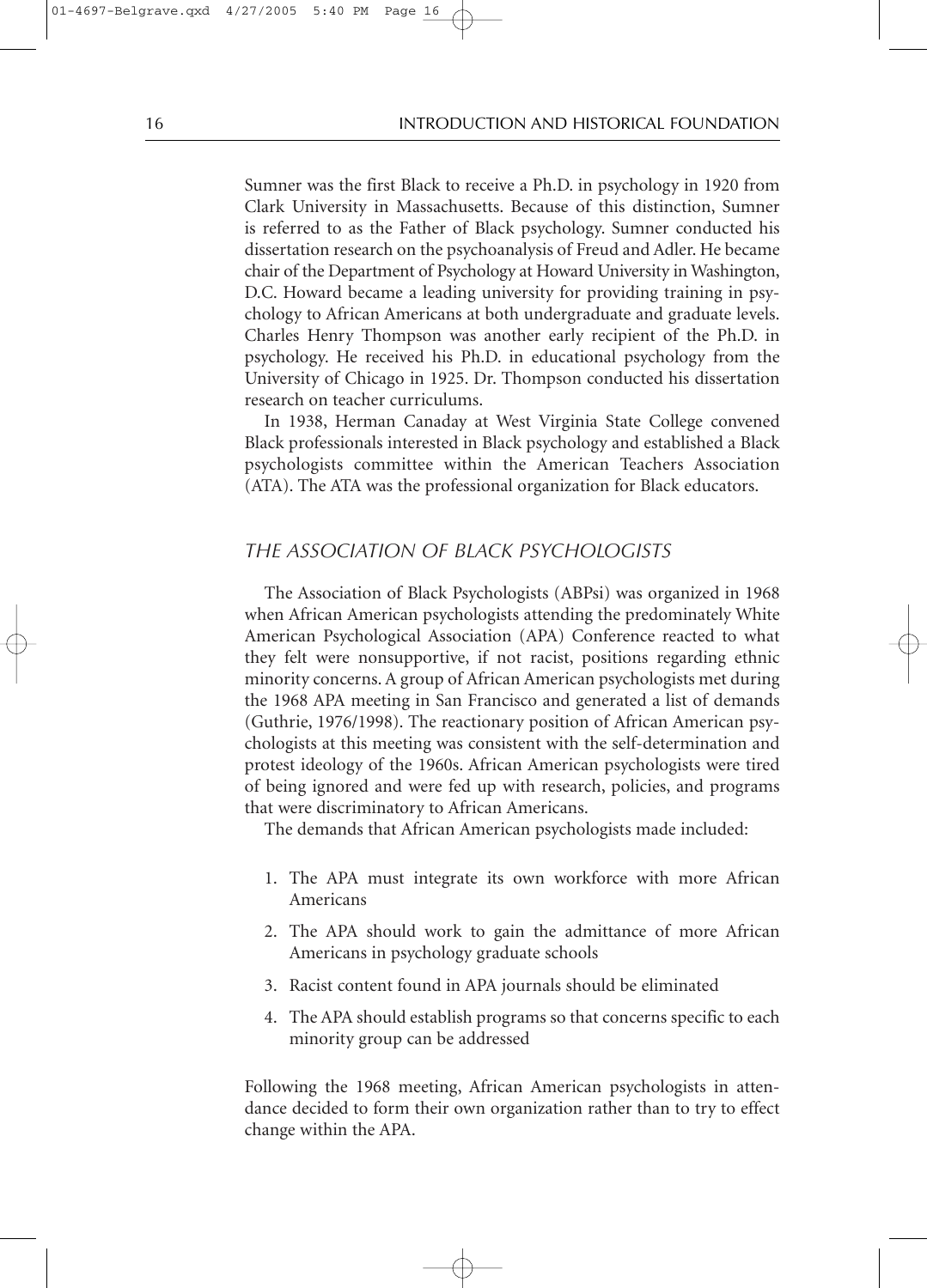Sumner was the first Black to receive a Ph.D. in psychology in 1920 from Clark University in Massachusetts. Because of this distinction, Sumner is referred to as the Father of Black psychology. Sumner conducted his dissertation research on the psychoanalysis of Freud and Adler. He became chair of the Department of Psychology at Howard University in Washington, D.C. Howard became a leading university for providing training in psychology to African Americans at both undergraduate and graduate levels. Charles Henry Thompson was another early recipient of the Ph.D. in psychology. He received his Ph.D. in educational psychology from the University of Chicago in 1925. Dr. Thompson conducted his dissertation research on teacher curriculums.

In 1938, Herman Canaday at West Virginia State College convened Black professionals interested in Black psychology and established a Black psychologists committee within the American Teachers Association (ATA). The ATA was the professional organization for Black educators.

# *THE ASSOCIATION OF BLACK PSYCHOLOGISTS*

The Association of Black Psychologists (ABPsi) was organized in 1968 when African American psychologists attending the predominately White American Psychological Association (APA) Conference reacted to what they felt were nonsupportive, if not racist, positions regarding ethnic minority concerns. A group of African American psychologists met during the 1968 APA meeting in San Francisco and generated a list of demands (Guthrie, 1976/1998). The reactionary position of African American psychologists at this meeting was consistent with the self-determination and protest ideology of the 1960s. African American psychologists were tired of being ignored and were fed up with research, policies, and programs that were discriminatory to African Americans.

The demands that African American psychologists made included:

- 1. The APA must integrate its own workforce with more African Americans
- 2. The APA should work to gain the admittance of more African Americans in psychology graduate schools
- 3. Racist content found in APA journals should be eliminated
- 4. The APA should establish programs so that concerns specific to each minority group can be addressed

Following the 1968 meeting, African American psychologists in attendance decided to form their own organization rather than to try to effect change within the APA.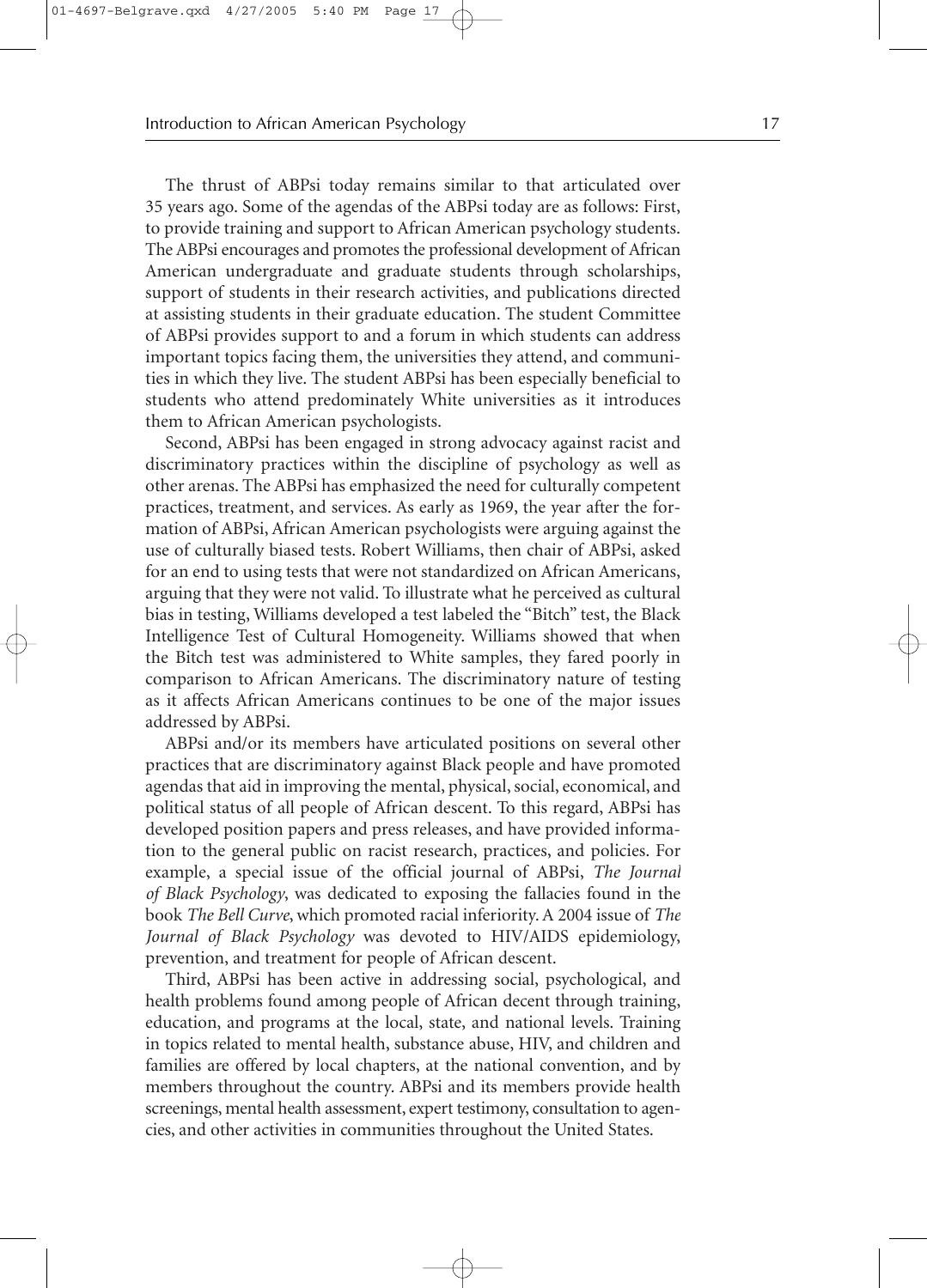The thrust of ABPsi today remains similar to that articulated over 35 years ago. Some of the agendas of the ABPsi today are as follows: First, to provide training and support to African American psychology students. The ABPsi encourages and promotes the professional development of African American undergraduate and graduate students through scholarships, support of students in their research activities, and publications directed at assisting students in their graduate education. The student Committee of ABPsi provides support to and a forum in which students can address important topics facing them, the universities they attend, and communities in which they live. The student ABPsi has been especially beneficial to students who attend predominately White universities as it introduces them to African American psychologists.

Second, ABPsi has been engaged in strong advocacy against racist and discriminatory practices within the discipline of psychology as well as other arenas. The ABPsi has emphasized the need for culturally competent practices, treatment, and services. As early as 1969, the year after the formation of ABPsi, African American psychologists were arguing against the use of culturally biased tests. Robert Williams, then chair of ABPsi, asked for an end to using tests that were not standardized on African Americans, arguing that they were not valid. To illustrate what he perceived as cultural bias in testing, Williams developed a test labeled the "Bitch" test, the Black Intelligence Test of Cultural Homogeneity. Williams showed that when the Bitch test was administered to White samples, they fared poorly in comparison to African Americans. The discriminatory nature of testing as it affects African Americans continues to be one of the major issues addressed by ABPsi.

ABPsi and/or its members have articulated positions on several other practices that are discriminatory against Black people and have promoted agendas that aid in improving the mental, physical, social, economical, and political status of all people of African descent. To this regard, ABPsi has developed position papers and press releases, and have provided information to the general public on racist research, practices, and policies. For example, a special issue of the official journal of ABPsi, *The Journal of Black Psychology*, was dedicated to exposing the fallacies found in the book *The Bell Curve*, which promoted racial inferiority. A 2004 issue of *The Journal of Black Psychology* was devoted to HIV/AIDS epidemiology, prevention, and treatment for people of African descent.

Third, ABPsi has been active in addressing social, psychological, and health problems found among people of African decent through training, education, and programs at the local, state, and national levels. Training in topics related to mental health, substance abuse, HIV, and children and families are offered by local chapters, at the national convention, and by members throughout the country. ABPsi and its members provide health screenings, mental health assessment, expert testimony, consultation to agencies, and other activities in communities throughout the United States.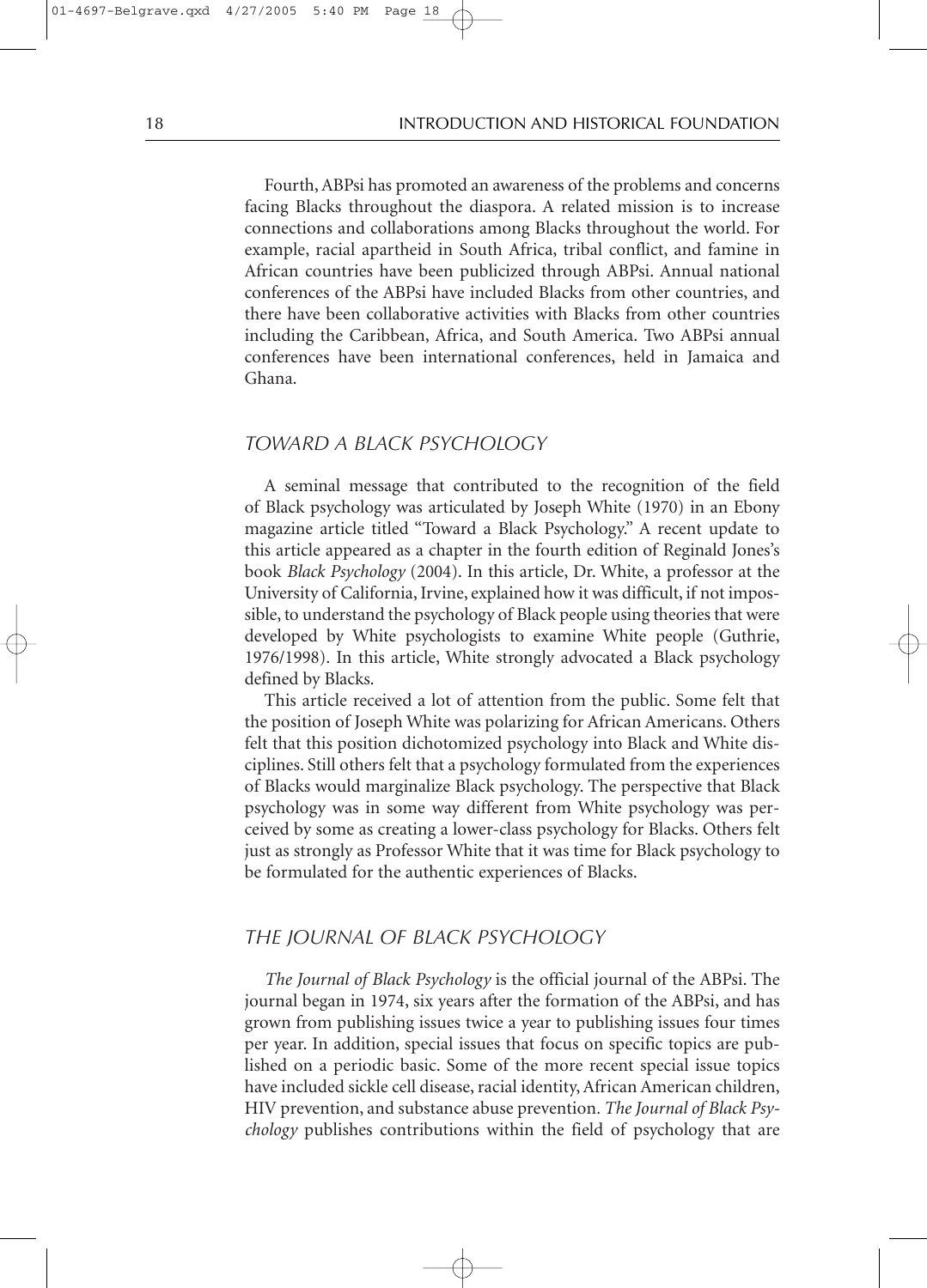Fourth, ABPsi has promoted an awareness of the problems and concerns facing Blacks throughout the diaspora. A related mission is to increase connections and collaborations among Blacks throughout the world. For example, racial apartheid in South Africa, tribal conflict, and famine in African countries have been publicized through ABPsi. Annual national conferences of the ABPsi have included Blacks from other countries, and there have been collaborative activities with Blacks from other countries including the Caribbean, Africa, and South America. Two ABPsi annual conferences have been international conferences, held in Jamaica and Ghana.

# *TOWARD A BLACK PSYCHOLOGY*

A seminal message that contributed to the recognition of the field of Black psychology was articulated by Joseph White (1970) in an Ebony magazine article titled "Toward a Black Psychology." A recent update to this article appeared as a chapter in the fourth edition of Reginald Jones's book *Black Psychology* (2004). In this article, Dr. White, a professor at the University of California, Irvine, explained how it was difficult, if not impossible, to understand the psychology of Black people using theories that were developed by White psychologists to examine White people (Guthrie, 1976/1998). In this article, White strongly advocated a Black psychology defined by Blacks.

This article received a lot of attention from the public. Some felt that the position of Joseph White was polarizing for African Americans. Others felt that this position dichotomized psychology into Black and White disciplines. Still others felt that a psychology formulated from the experiences of Blacks would marginalize Black psychology. The perspective that Black psychology was in some way different from White psychology was perceived by some as creating a lower-class psychology for Blacks. Others felt just as strongly as Professor White that it was time for Black psychology to be formulated for the authentic experiences of Blacks.

# *THE JOURNAL OF BLACK PSYCHOLOGY*

*The Journal of Black Psychology* is the official journal of the ABPsi. The journal began in 1974, six years after the formation of the ABPsi, and has grown from publishing issues twice a year to publishing issues four times per year. In addition, special issues that focus on specific topics are published on a periodic basic. Some of the more recent special issue topics have included sickle cell disease, racial identity, African American children, HIV prevention, and substance abuse prevention*. The Journal of Black Psychology* publishes contributions within the field of psychology that are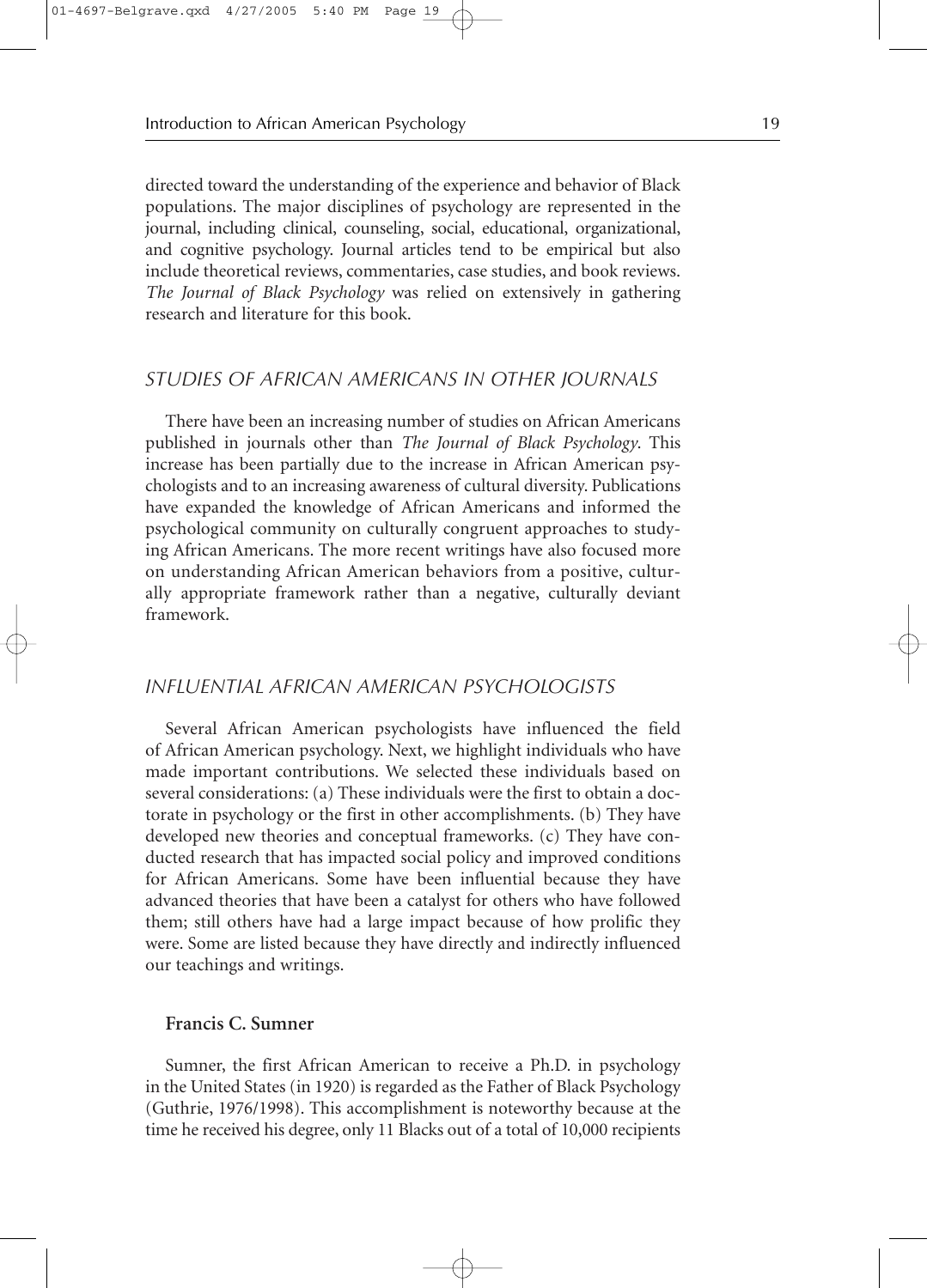directed toward the understanding of the experience and behavior of Black populations. The major disciplines of psychology are represented in the journal, including clinical, counseling, social, educational, organizational, and cognitive psychology. Journal articles tend to be empirical but also include theoretical reviews, commentaries, case studies, and book reviews. *The Journal of Black Psychology* was relied on extensively in gathering research and literature for this book.

## *STUDIES OF AFRICAN AMERICANS IN OTHER JOURNALS*

There have been an increasing number of studies on African Americans published in journals other than *The Journal of Black Psychology*. This increase has been partially due to the increase in African American psychologists and to an increasing awareness of cultural diversity. Publications have expanded the knowledge of African Americans and informed the psychological community on culturally congruent approaches to studying African Americans. The more recent writings have also focused more on understanding African American behaviors from a positive, culturally appropriate framework rather than a negative, culturally deviant framework.

# *INFLUENTIAL AFRICAN AMERICAN PSYCHOLOGISTS*

Several African American psychologists have influenced the field of African American psychology. Next, we highlight individuals who have made important contributions. We selected these individuals based on several considerations: (a) These individuals were the first to obtain a doctorate in psychology or the first in other accomplishments. (b) They have developed new theories and conceptual frameworks. (c) They have conducted research that has impacted social policy and improved conditions for African Americans. Some have been influential because they have advanced theories that have been a catalyst for others who have followed them; still others have had a large impact because of how prolific they were. Some are listed because they have directly and indirectly influenced our teachings and writings.

## **Francis C. Sumner**

Sumner, the first African American to receive a Ph.D. in psychology in the United States (in 1920) is regarded as the Father of Black Psychology (Guthrie, 1976/1998). This accomplishment is noteworthy because at the time he received his degree, only 11 Blacks out of a total of 10,000 recipients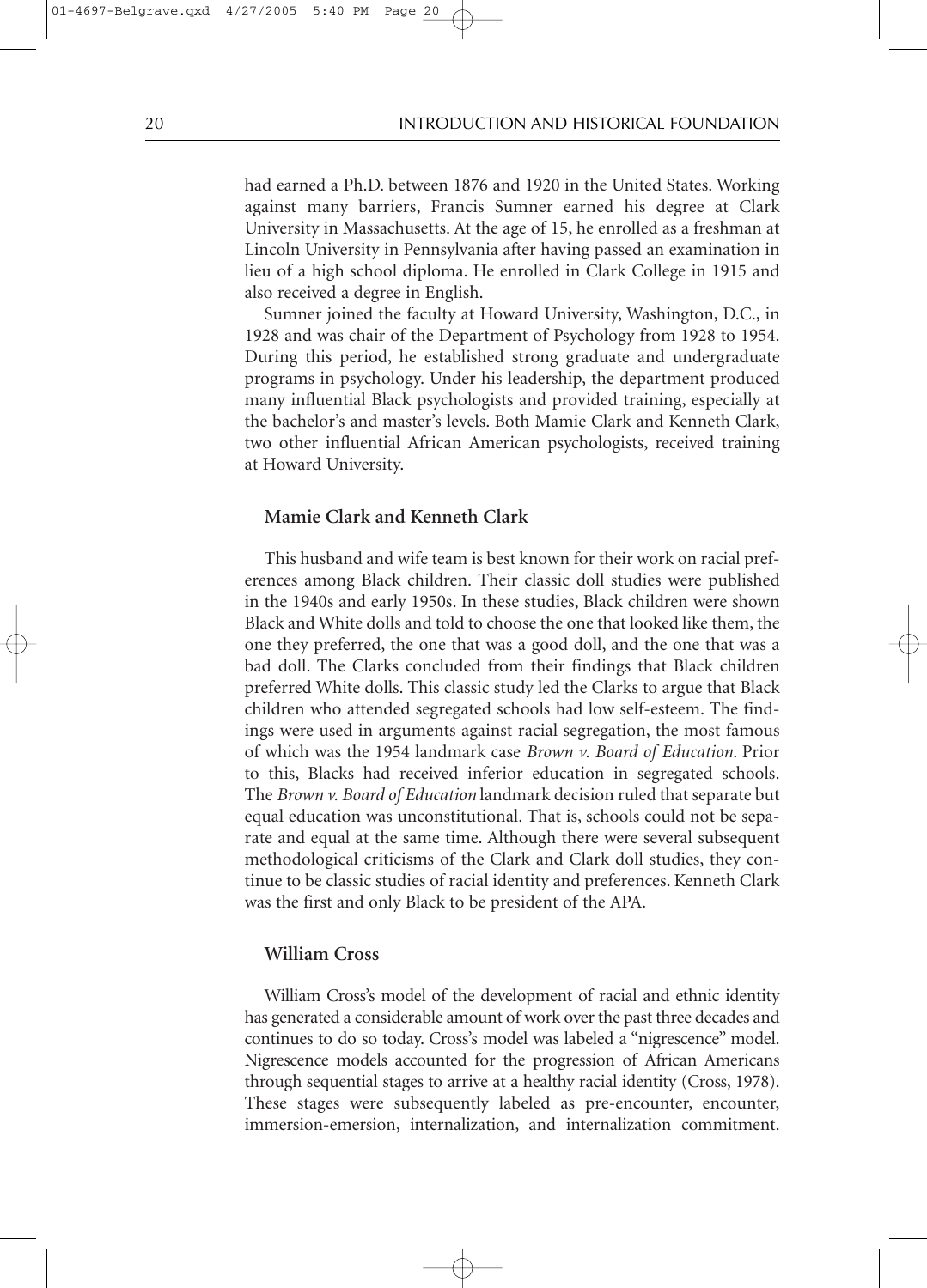had earned a Ph.D. between 1876 and 1920 in the United States. Working against many barriers, Francis Sumner earned his degree at Clark University in Massachusetts. At the age of 15, he enrolled as a freshman at Lincoln University in Pennsylvania after having passed an examination in lieu of a high school diploma. He enrolled in Clark College in 1915 and also received a degree in English.

Sumner joined the faculty at Howard University, Washington, D.C., in 1928 and was chair of the Department of Psychology from 1928 to 1954. During this period, he established strong graduate and undergraduate programs in psychology. Under his leadership, the department produced many influential Black psychologists and provided training, especially at the bachelor's and master's levels. Both Mamie Clark and Kenneth Clark, two other influential African American psychologists, received training at Howard University.

# **Mamie Clark and Kenneth Clark**

This husband and wife team is best known for their work on racial preferences among Black children. Their classic doll studies were published in the 1940s and early 1950s. In these studies, Black children were shown Black and White dolls and told to choose the one that looked like them, the one they preferred, the one that was a good doll, and the one that was a bad doll. The Clarks concluded from their findings that Black children preferred White dolls. This classic study led the Clarks to argue that Black children who attended segregated schools had low self-esteem. The findings were used in arguments against racial segregation, the most famous of which was the 1954 landmark case *Brown v. Board of Education*. Prior to this, Blacks had received inferior education in segregated schools. The *Brown v. Board of Education* landmark decision ruled that separate but equal education was unconstitutional. That is, schools could not be separate and equal at the same time. Although there were several subsequent methodological criticisms of the Clark and Clark doll studies, they continue to be classic studies of racial identity and preferences. Kenneth Clark was the first and only Black to be president of the APA.

#### **William Cross**

William Cross's model of the development of racial and ethnic identity has generated a considerable amount of work over the past three decades and continues to do so today. Cross's model was labeled a "nigrescence" model. Nigrescence models accounted for the progression of African Americans through sequential stages to arrive at a healthy racial identity (Cross, 1978). These stages were subsequently labeled as pre-encounter, encounter, immersion-emersion, internalization, and internalization commitment.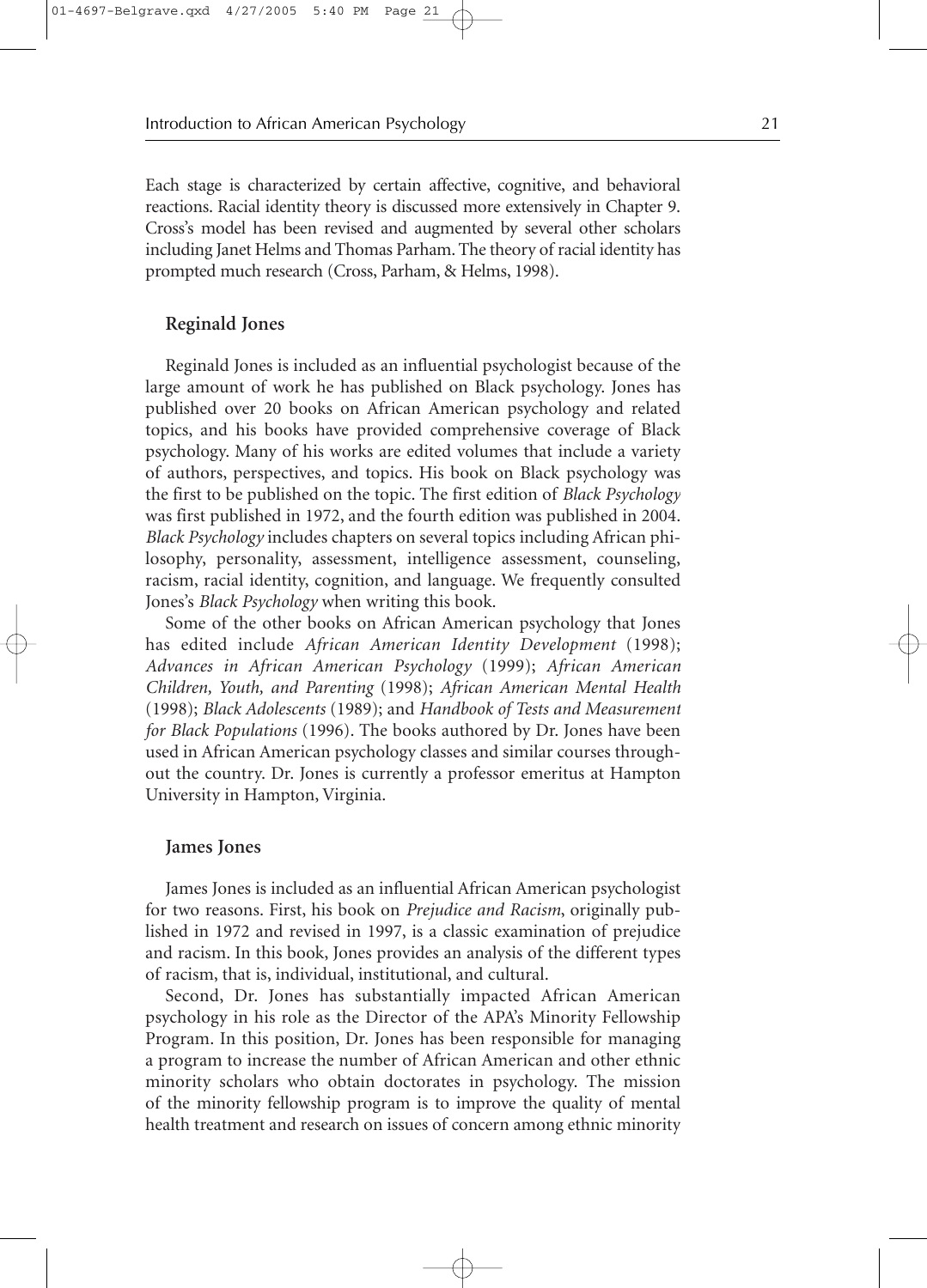Each stage is characterized by certain affective, cognitive, and behavioral reactions. Racial identity theory is discussed more extensively in Chapter 9. Cross's model has been revised and augmented by several other scholars including Janet Helms and Thomas Parham. The theory of racial identity has prompted much research (Cross, Parham, & Helms, 1998).

#### **Reginald Jones**

Reginald Jones is included as an influential psychologist because of the large amount of work he has published on Black psychology. Jones has published over 20 books on African American psychology and related topics, and his books have provided comprehensive coverage of Black psychology. Many of his works are edited volumes that include a variety of authors, perspectives, and topics. His book on Black psychology was the first to be published on the topic. The first edition of *Black Psychology* was first published in 1972, and the fourth edition was published in 2004. *Black Psychology* includes chapters on several topics including African philosophy, personality, assessment, intelligence assessment, counseling, racism, racial identity, cognition, and language. We frequently consulted Jones's *Black Psychology* when writing this book.

Some of the other books on African American psychology that Jones has edited include *African American Identity Development* (1998); *Advances in African American Psychology* (1999); *African American Children, Youth, and Parenting* (1998); *African American Mental Health* (1998); *Black Adolescents* (1989); and *Handbook of Tests and Measurement for Black Populations* (1996). The books authored by Dr. Jones have been used in African American psychology classes and similar courses throughout the country. Dr. Jones is currently a professor emeritus at Hampton University in Hampton, Virginia.

#### **James Jones**

James Jones is included as an influential African American psychologist for two reasons. First, his book on *Prejudice and Racism*, originally published in 1972 and revised in 1997, is a classic examination of prejudice and racism. In this book, Jones provides an analysis of the different types of racism, that is, individual, institutional, and cultural.

Second, Dr. Jones has substantially impacted African American psychology in his role as the Director of the APA's Minority Fellowship Program. In this position, Dr. Jones has been responsible for managing a program to increase the number of African American and other ethnic minority scholars who obtain doctorates in psychology. The mission of the minority fellowship program is to improve the quality of mental health treatment and research on issues of concern among ethnic minority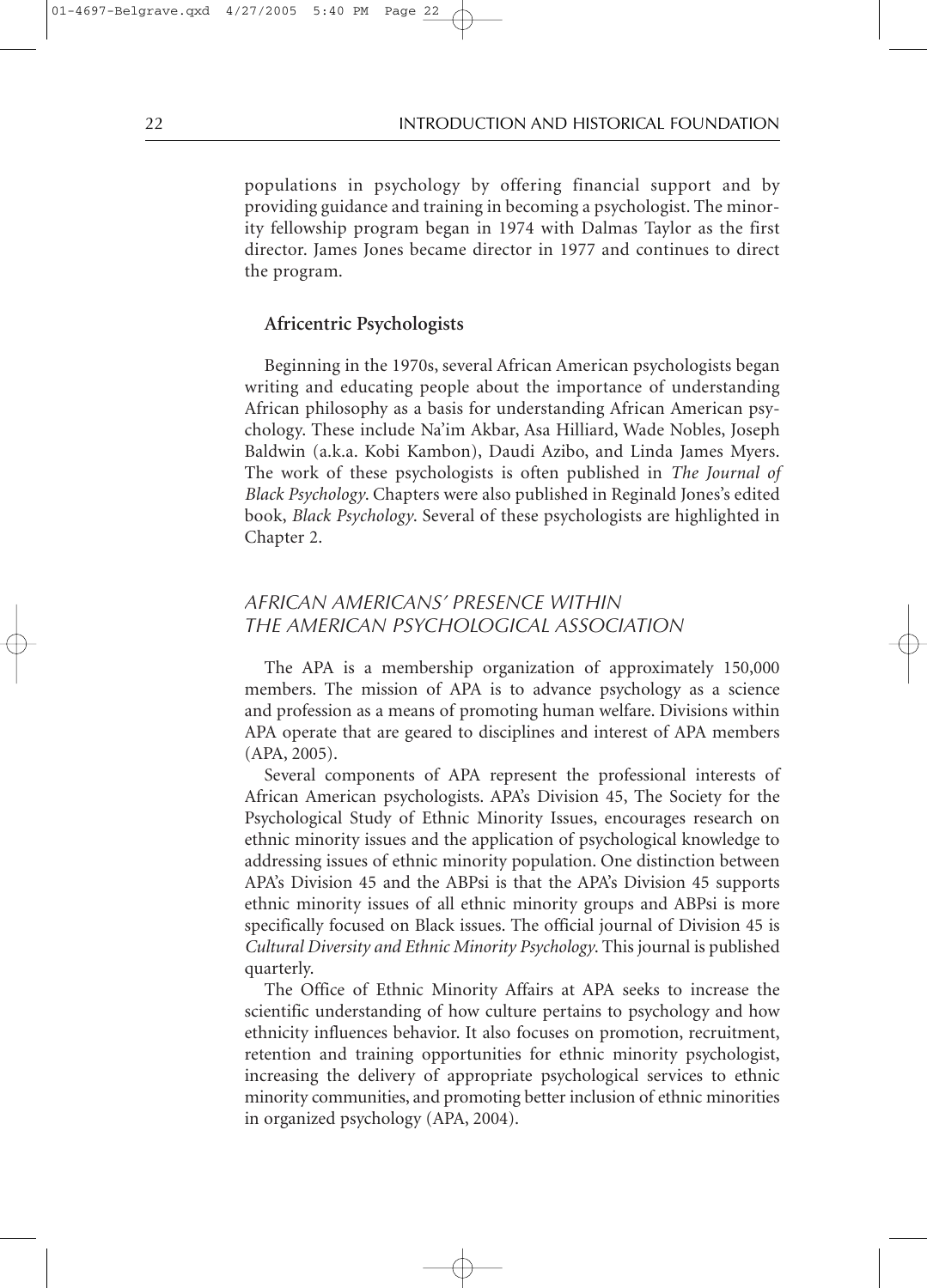populations in psychology by offering financial support and by providing guidance and training in becoming a psychologist. The minority fellowship program began in 1974 with Dalmas Taylor as the first director. James Jones became director in 1977 and continues to direct the program.

## **Africentric Psychologists**

Beginning in the 1970s, several African American psychologists began writing and educating people about the importance of understanding African philosophy as a basis for understanding African American psychology. These include Na'im Akbar, Asa Hilliard, Wade Nobles, Joseph Baldwin (a.k.a. Kobi Kambon), Daudi Azibo, and Linda James Myers. The work of these psychologists is often published in *The Journal of Black Psychology*. Chapters were also published in Reginald Jones's edited book, *Black Psychology*. Several of these psychologists are highlighted in Chapter 2.

# *AFRICAN AMERICANS' PRESENCE WITHIN THE AMERICAN PSYCHOLOGICAL ASSOCIATION*

The APA is a membership organization of approximately 150,000 members. The mission of APA is to advance psychology as a science and profession as a means of promoting human welfare. Divisions within APA operate that are geared to disciplines and interest of APA members (APA, 2005).

Several components of APA represent the professional interests of African American psychologists. APA's Division 45, The Society for the Psychological Study of Ethnic Minority Issues, encourages research on ethnic minority issues and the application of psychological knowledge to addressing issues of ethnic minority population. One distinction between APA's Division 45 and the ABPsi is that the APA's Division 45 supports ethnic minority issues of all ethnic minority groups and ABPsi is more specifically focused on Black issues. The official journal of Division 45 is *Cultural Diversity and Ethnic Minority Psychology*. This journal is published quarterly.

The Office of Ethnic Minority Affairs at APA seeks to increase the scientific understanding of how culture pertains to psychology and how ethnicity influences behavior. It also focuses on promotion, recruitment, retention and training opportunities for ethnic minority psychologist, increasing the delivery of appropriate psychological services to ethnic minority communities, and promoting better inclusion of ethnic minorities in organized psychology (APA, 2004).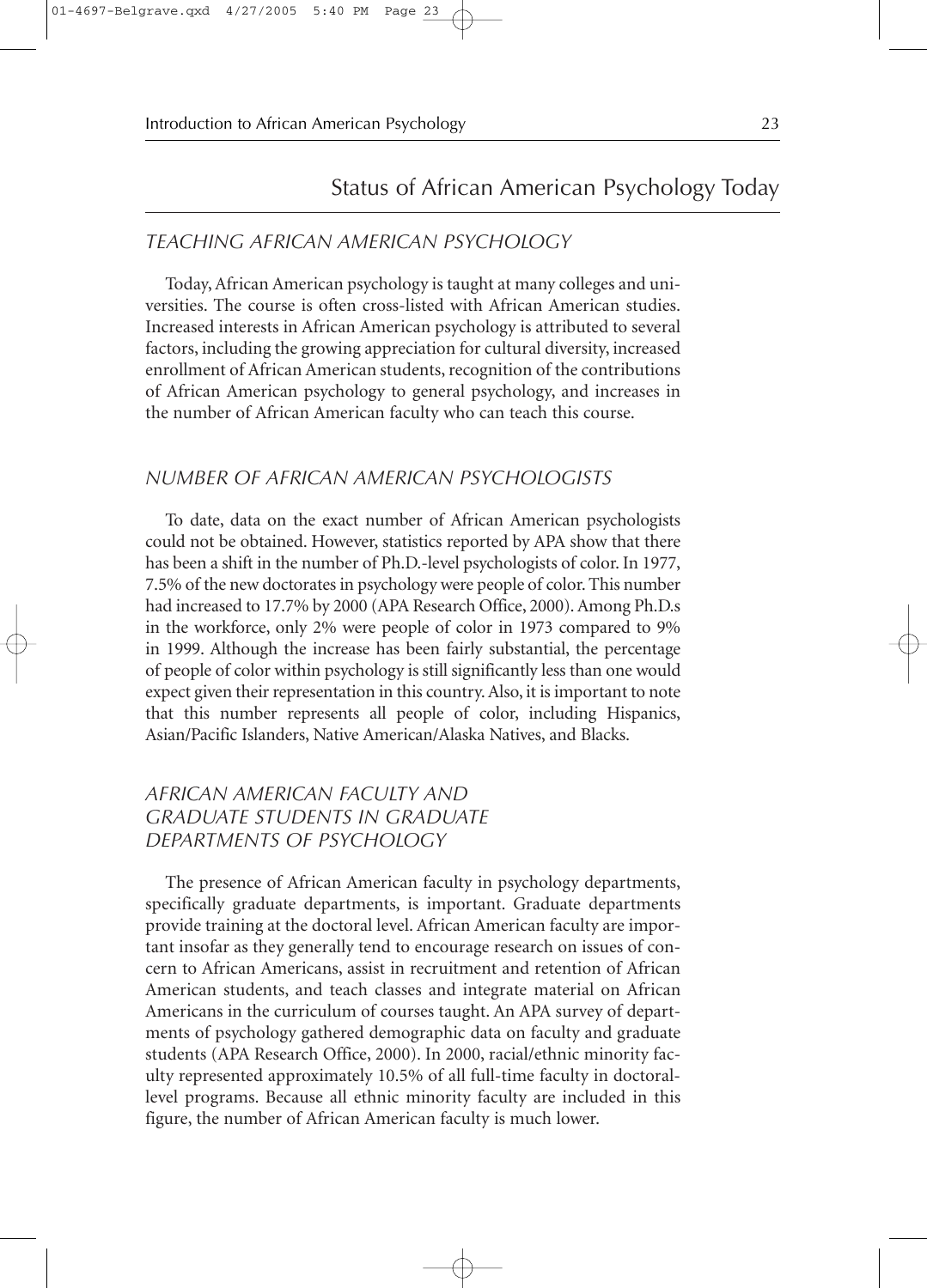# Status of African American Psychology Today

# *TEACHING AFRICAN AMERICAN PSYCHOLOGY*

Today, African American psychology is taught at many colleges and universities. The course is often cross-listed with African American studies. Increased interests in African American psychology is attributed to several factors, including the growing appreciation for cultural diversity, increased enrollment of African American students, recognition of the contributions of African American psychology to general psychology, and increases in the number of African American faculty who can teach this course.

# *NUMBER OF AFRICAN AMERICAN PSYCHOLOGISTS*

To date, data on the exact number of African American psychologists could not be obtained. However, statistics reported by APA show that there has been a shift in the number of Ph.D.-level psychologists of color. In 1977, 7.5% of the new doctorates in psychology were people of color. This number had increased to 17.7% by 2000 (APA Research Office, 2000). Among Ph.D.s in the workforce, only 2% were people of color in 1973 compared to 9% in 1999. Although the increase has been fairly substantial, the percentage of people of color within psychology is still significantly less than one would expect given their representation in this country. Also, it is important to note that this number represents all people of color, including Hispanics, Asian/Pacific Islanders, Native American/Alaska Natives, and Blacks.

# *AFRICAN AMERICAN FACULTY AND GRADUATE STUDENTS IN GRADUATE DEPARTMENTS OF PSYCHOLOGY*

The presence of African American faculty in psychology departments, specifically graduate departments, is important. Graduate departments provide training at the doctoral level. African American faculty are important insofar as they generally tend to encourage research on issues of concern to African Americans, assist in recruitment and retention of African American students, and teach classes and integrate material on African Americans in the curriculum of courses taught. An APA survey of departments of psychology gathered demographic data on faculty and graduate students (APA Research Office, 2000). In 2000, racial/ethnic minority faculty represented approximately 10.5% of all full-time faculty in doctorallevel programs. Because all ethnic minority faculty are included in this figure, the number of African American faculty is much lower.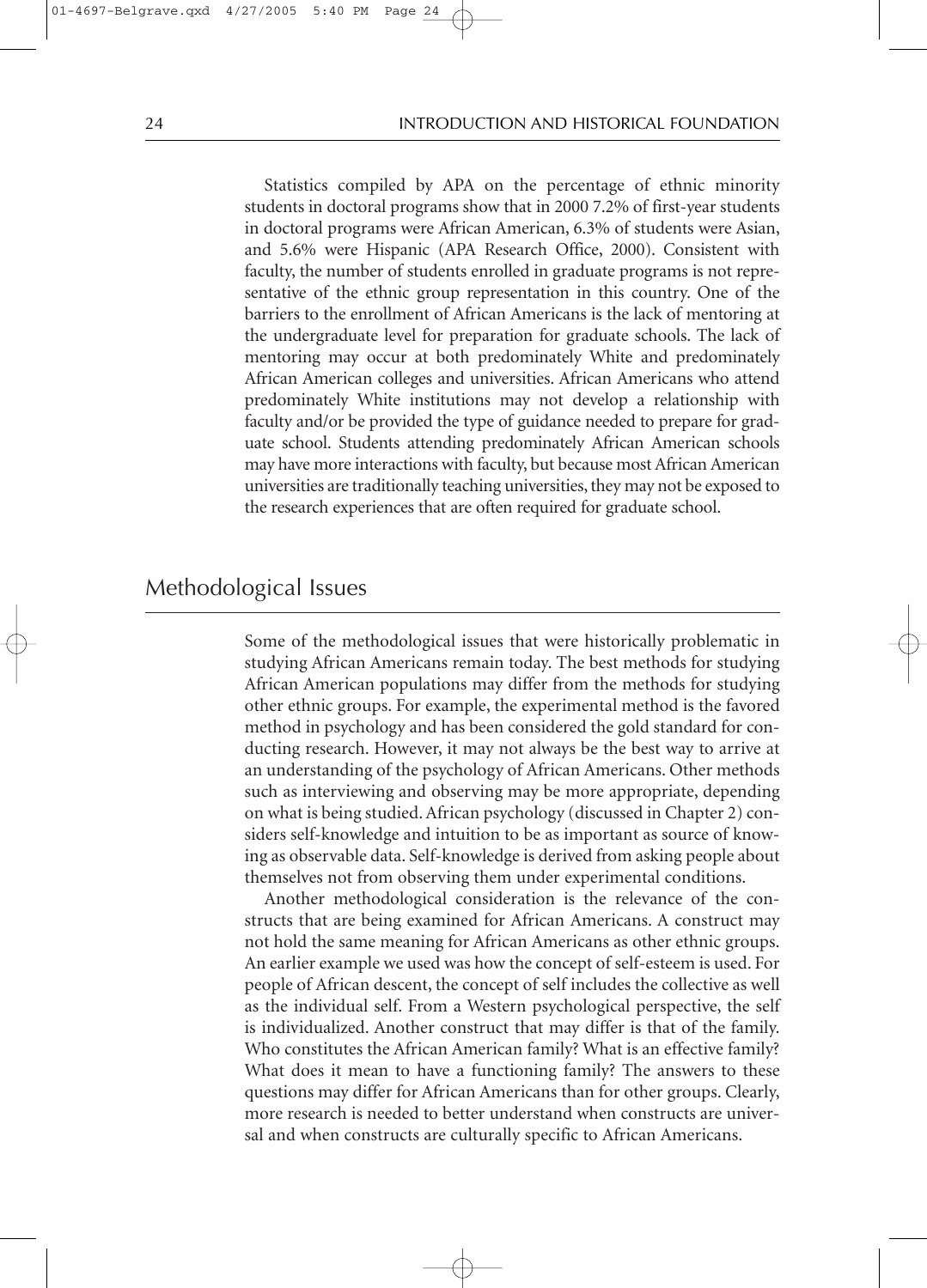#### 24 INTRODUCTION AND HISTORICAL FOUNDATION

Statistics compiled by APA on the percentage of ethnic minority students in doctoral programs show that in 2000 7.2% of first-year students in doctoral programs were African American, 6.3% of students were Asian, and 5.6% were Hispanic (APA Research Office, 2000). Consistent with faculty, the number of students enrolled in graduate programs is not representative of the ethnic group representation in this country. One of the barriers to the enrollment of African Americans is the lack of mentoring at the undergraduate level for preparation for graduate schools. The lack of mentoring may occur at both predominately White and predominately African American colleges and universities. African Americans who attend predominately White institutions may not develop a relationship with faculty and/or be provided the type of guidance needed to prepare for graduate school. Students attending predominately African American schools may have more interactions with faculty, but because most African American universities are traditionally teaching universities, they may not be exposed to the research experiences that are often required for graduate school.

# Methodological Issues

Some of the methodological issues that were historically problematic in studying African Americans remain today. The best methods for studying African American populations may differ from the methods for studying other ethnic groups. For example, the experimental method is the favored method in psychology and has been considered the gold standard for conducting research. However, it may not always be the best way to arrive at an understanding of the psychology of African Americans. Other methods such as interviewing and observing may be more appropriate, depending on what is being studied. African psychology (discussed in Chapter 2) considers self-knowledge and intuition to be as important as source of knowing as observable data. Self-knowledge is derived from asking people about themselves not from observing them under experimental conditions.

Another methodological consideration is the relevance of the constructs that are being examined for African Americans. A construct may not hold the same meaning for African Americans as other ethnic groups. An earlier example we used was how the concept of self-esteem is used. For people of African descent, the concept of self includes the collective as well as the individual self. From a Western psychological perspective, the self is individualized. Another construct that may differ is that of the family. Who constitutes the African American family? What is an effective family? What does it mean to have a functioning family? The answers to these questions may differ for African Americans than for other groups. Clearly, more research is needed to better understand when constructs are universal and when constructs are culturally specific to African Americans.